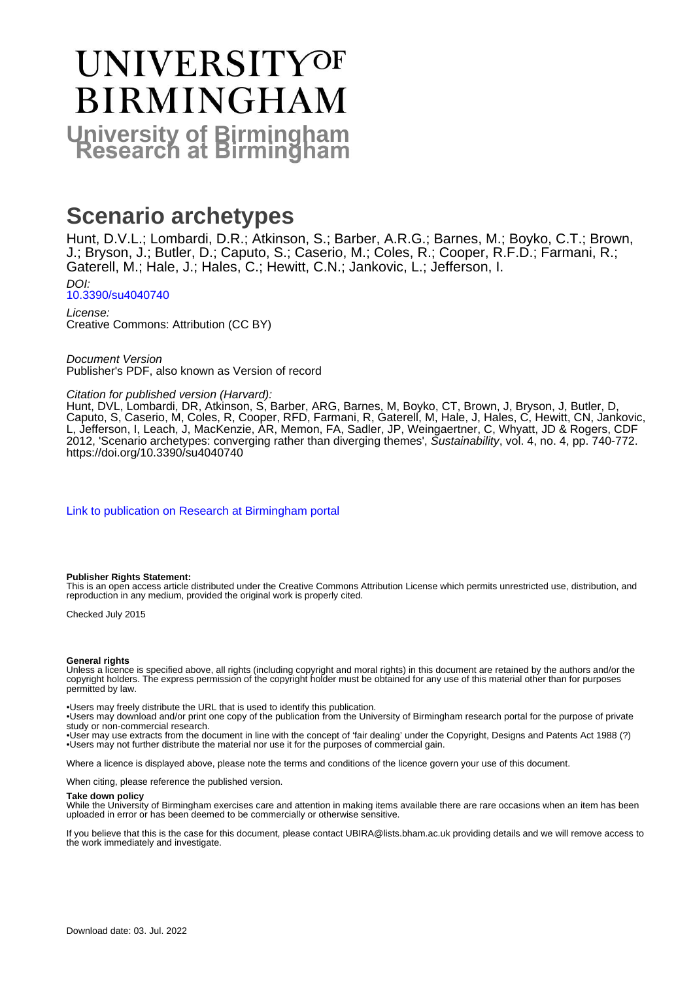# UNIVERSITYOF **BIRMINGHAM University of Birmingham**

# **Scenario archetypes**

Hunt, D.V.L.; Lombardi, D.R.; Atkinson, S.; Barber, A.R.G.; Barnes, M.; Boyko, C.T.; Brown, J.; Bryson, J.; Butler, D.; Caputo, S.; Caserio, M.; Coles, R.; Cooper, R.F.D.; Farmani, R.; Gaterell, M.; Hale, J.; Hales, C.; Hewitt, C.N.; Jankovic, L.; Jefferson, I.

DOI: [10.3390/su4040740](https://doi.org/10.3390/su4040740)

License: Creative Commons: Attribution (CC BY)

Document Version Publisher's PDF, also known as Version of record

#### Citation for published version (Harvard):

Hunt, DVL, Lombardi, DR, Atkinson, S, Barber, ARG, Barnes, M, Boyko, CT, Brown, J, Bryson, J, Butler, D, Caputo, S, Caserio, M, Coles, R, Cooper, RFD, Farmani, R, Gaterell, M, Hale, J, Hales, C, Hewitt, CN, Jankovic, L, Jefferson, I, Leach, J, MacKenzie, AR, Memon, FA, Sadler, JP, Weingaertner, C, Whyatt, JD & Rogers, CDF 2012, 'Scenario archetypes: converging rather than diverging themes', Sustainability, vol. 4, no. 4, pp. 740-772. <https://doi.org/10.3390/su4040740>

[Link to publication on Research at Birmingham portal](https://birmingham.elsevierpure.com/en/publications/2983c071-873e-4d87-a1e3-66ae9cc98e76)

#### **Publisher Rights Statement:**

This is an open access article distributed under the Creative Commons Attribution License which permits unrestricted use, distribution, and reproduction in any medium, provided the original work is properly cited.

Checked July 2015

#### **General rights**

Unless a licence is specified above, all rights (including copyright and moral rights) in this document are retained by the authors and/or the copyright holders. The express permission of the copyright holder must be obtained for any use of this material other than for purposes permitted by law.

• Users may freely distribute the URL that is used to identify this publication.

• Users may download and/or print one copy of the publication from the University of Birmingham research portal for the purpose of private study or non-commercial research.

• User may use extracts from the document in line with the concept of 'fair dealing' under the Copyright, Designs and Patents Act 1988 (?) • Users may not further distribute the material nor use it for the purposes of commercial gain.

Where a licence is displayed above, please note the terms and conditions of the licence govern your use of this document.

When citing, please reference the published version.

#### **Take down policy**

While the University of Birmingham exercises care and attention in making items available there are rare occasions when an item has been uploaded in error or has been deemed to be commercially or otherwise sensitive.

If you believe that this is the case for this document, please contact UBIRA@lists.bham.ac.uk providing details and we will remove access to the work immediately and investigate.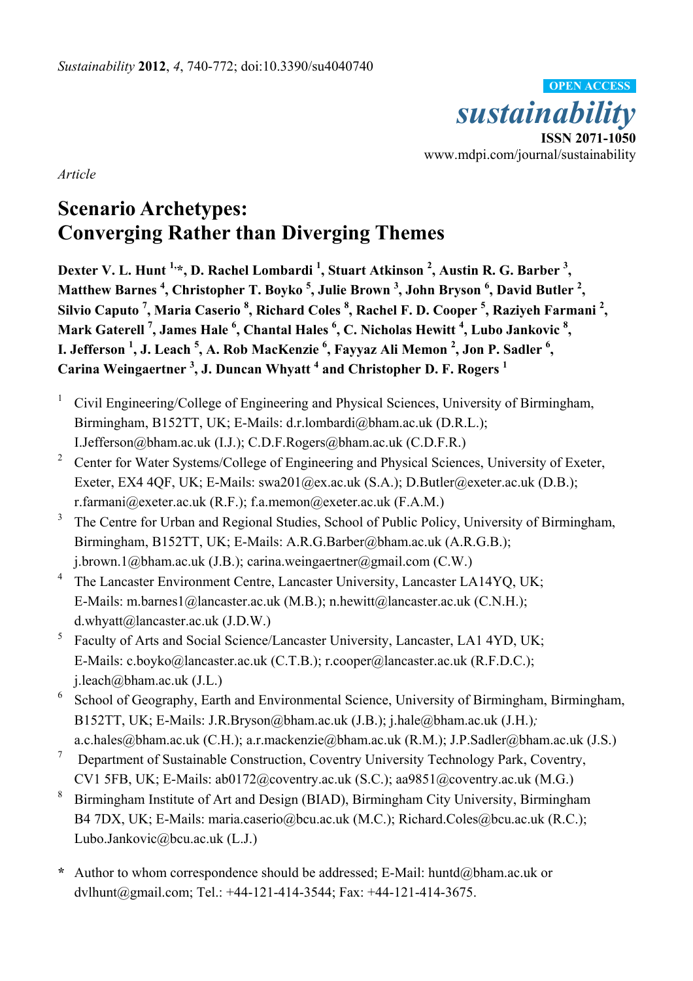

*Article* 

# **Scenario Archetypes: Converging Rather than Diverging Themes**

Dexter V. L. Hunt <sup>1,\*</sup>, D. Rachel Lombardi <sup>1</sup>, Stuart Atkinson <sup>2</sup>, Austin R. G. Barber <sup>3</sup>, **Matthew Barnes <sup>4</sup> , Christopher T. Boyko 5 , Julie Brown <sup>3</sup> , John Bryson <sup>6</sup> , David Butler <sup>2</sup> , Silvio Caputo <sup>7</sup> , Maria Caserio 8 , Richard Coles 8 , Rachel F. D. Cooper <sup>5</sup> , Raziyeh Farmani 2 ,**  Mark Gaterell <sup>7</sup>, James Hale <sup>6</sup>, Chantal Hales <sup>6</sup>, C. Nicholas Hewitt <sup>4</sup>, Lubo Jankovic <sup>8</sup>, **I. Jefferson 1 , J. Leach <sup>5</sup> , A. Rob MacKenzie <sup>6</sup> , Fayyaz Ali Memon 2 , Jon P. Sadler 6 , Carina Weingaertner 3 , J. Duncan Whyatt 4 and Christopher D. F. Rogers <sup>1</sup>**

- <sup>1</sup> Civil Engineering/College of Engineering and Physical Sciences, University of Birmingham, Birmingham, B152TT, UK; E-Mails: d.r.lombardi@bham.ac.uk (D.R.L.); I.Jefferson@bham.ac.uk (I.J.); C.D.F.Rogers@bham.ac.uk (C.D.F.R.)
- <sup>2</sup> Center for Water Systems/College of Engineering and Physical Sciences, University of Exeter, Exeter, EX4 4QF, UK; E-Mails: swa201@ex.ac.uk (S.A.); D.Butler@exeter.ac.uk (D.B.); r.farmani@exeter.ac.uk (R.F.); f.a.memon@exeter.ac.uk (F.A.M.)
- 3 The Centre for Urban and Regional Studies, School of Public Policy, University of Birmingham, Birmingham, B152TT, UK; E-Mails: A.R.G.Barber@bham.ac.uk (A.R.G.B.); j.brown.1@bham.ac.uk (J.B.); carina.weingaertner@gmail.com (C.W.)
- <sup>4</sup> The Lancaster Environment Centre, Lancaster University, Lancaster LA14YQ, UK; E-Mails: m.barnes1@lancaster.ac.uk (M.B.); n.hewitt@lancaster.ac.uk (C.N.H.); d.whyatt@lancaster.ac.uk (J.D.W.)
- <sup>5</sup> Faculty of Arts and Social Science/Lancaster University, Lancaster, LA1 4YD, UK; E-Mails: c.boyko@lancaster.ac.uk (C.T.B.); r.cooper@lancaster.ac.uk (R.F.D.C.); j.leach@bham.ac.uk (J.L.)
- <sup>6</sup> School of Geography, Earth and Environmental Science, University of Birmingham, Birmingham, B152TT, UK; E-Mails: J.R.Bryson@bham.ac.uk (J.B.); j.hale@bham.ac.uk (J.H.)*;* a.c.hales@bham.ac.uk (C.H.); a.r.mackenzie@bham.ac.uk (R.M.); J.P.Sadler@bham.ac.uk (J.S.)
- 7 Department of Sustainable Construction, Coventry University Technology Park, Coventry, CV1 5FB, UK; E-Mails: ab0172@coventry.ac.uk (S.C.); aa9851@coventry.ac.uk (M.G.)
- 8 Birmingham Institute of Art and Design (BIAD), Birmingham City University, Birmingham B4 7DX, UK; E-Mails: maria.caserio@bcu.ac.uk (M.C.); Richard.Coles@bcu.ac.uk (R.C.); Lubo.Jankovic@bcu.ac.uk (L.J.)
- **\*** Author to whom correspondence should be addressed; E-Mail: huntd@bham.ac.uk or dvlhunt@gmail.com; Tel.: +44-121-414-3544; Fax: +44-121-414-3675.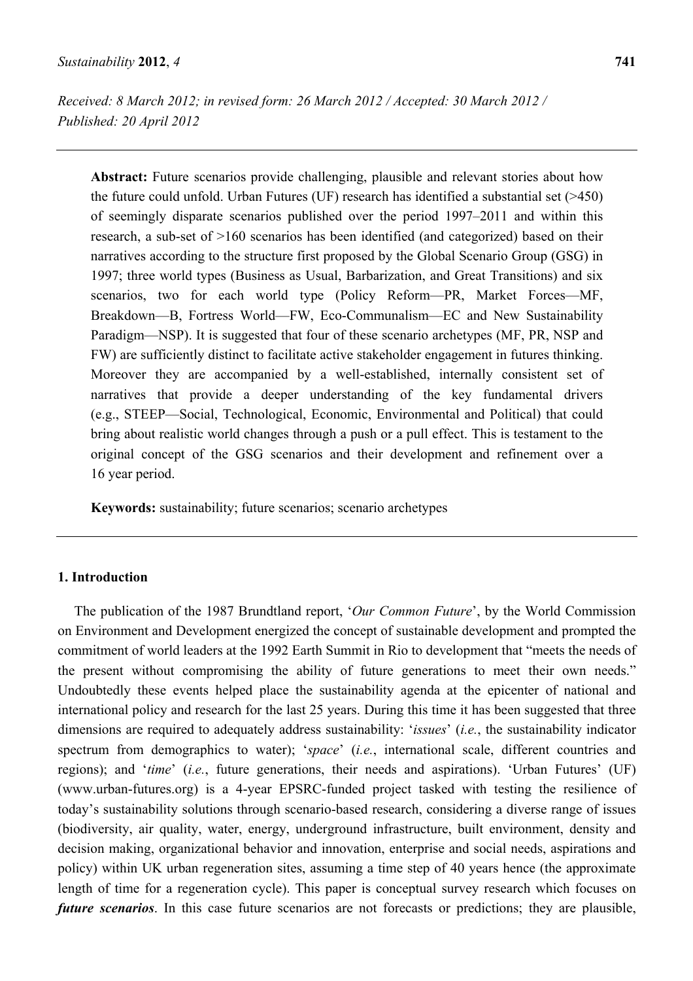**Abstract:** Future scenarios provide challenging, plausible and relevant stories about how the future could unfold. Urban Futures (UF) research has identified a substantial set (>450) of seemingly disparate scenarios published over the period 1997–2011 and within this research, a sub-set of >160 scenarios has been identified (and categorized) based on their narratives according to the structure first proposed by the Global Scenario Group (GSG) in 1997; three world types (Business as Usual, Barbarization, and Great Transitions) and six scenarios, two for each world type (Policy Reform—PR, Market Forces—MF, Breakdown—B, Fortress World—FW, Eco-Communalism—EC and New Sustainability Paradigm—NSP). It is suggested that four of these scenario archetypes (MF, PR, NSP and FW) are sufficiently distinct to facilitate active stakeholder engagement in futures thinking. Moreover they are accompanied by a well-established, internally consistent set of narratives that provide a deeper understanding of the key fundamental drivers (e.g., STEEP—Social, Technological, Economic, Environmental and Political) that could bring about realistic world changes through a push or a pull effect. This is testament to the original concept of the GSG scenarios and their development and refinement over a 16 year period.

**Keywords:** sustainability; future scenarios; scenario archetypes

#### **1. Introduction**

The publication of the 1987 Brundtland report, '*Our Common Future*', by the World Commission on Environment and Development energized the concept of sustainable development and prompted the commitment of world leaders at the 1992 Earth Summit in Rio to development that "meets the needs of the present without compromising the ability of future generations to meet their own needs." Undoubtedly these events helped place the sustainability agenda at the epicenter of national and international policy and research for the last 25 years. During this time it has been suggested that three dimensions are required to adequately address sustainability: '*issues*' (*i.e.*, the sustainability indicator spectrum from demographics to water); '*space*' (*i.e.*, international scale, different countries and regions); and '*time*' (*i.e.*, future generations, their needs and aspirations). 'Urban Futures' (UF) (www.urban-futures.org) is a 4-year EPSRC-funded project tasked with testing the resilience of today's sustainability solutions through scenario-based research, considering a diverse range of issues (biodiversity, air quality, water, energy, underground infrastructure, built environment, density and decision making, organizational behavior and innovation, enterprise and social needs, aspirations and policy) within UK urban regeneration sites, assuming a time step of 40 years hence (the approximate length of time for a regeneration cycle). This paper is conceptual survey research which focuses on *future scenarios*. In this case future scenarios are not forecasts or predictions; they are plausible,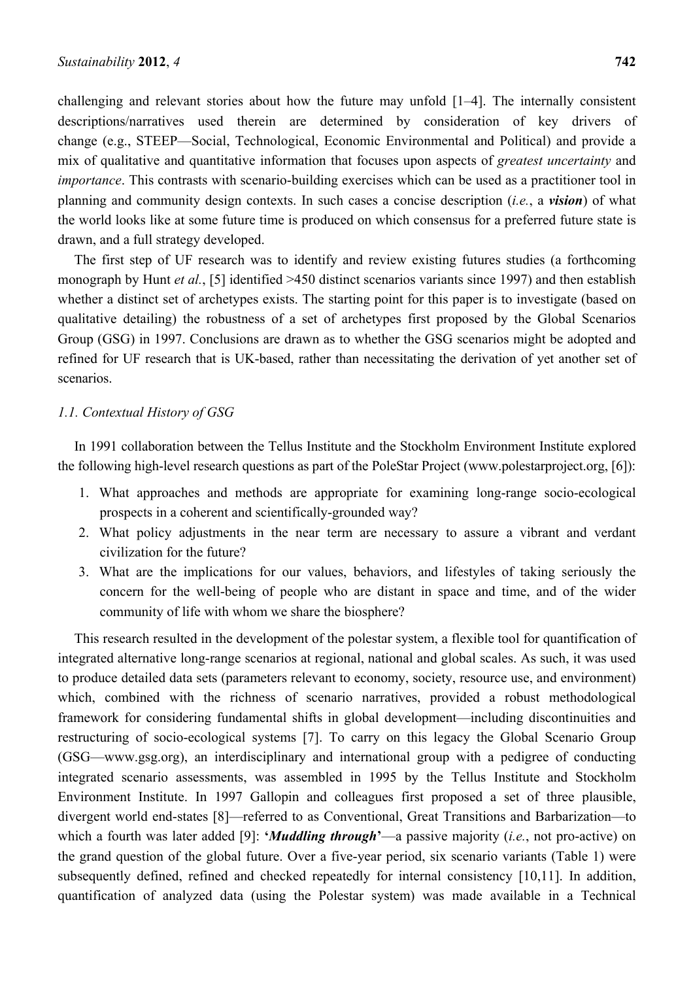challenging and relevant stories about how the future may unfold [1–4]. The internally consistent descriptions/narratives used therein are determined by consideration of key drivers of change (e.g., STEEP—Social, Technological, Economic Environmental and Political) and provide a mix of qualitative and quantitative information that focuses upon aspects of *greatest uncertainty* and *importance*. This contrasts with scenario-building exercises which can be used as a practitioner tool in planning and community design contexts. In such cases a concise description (*i.e.*, a *vision*) of what the world looks like at some future time is produced on which consensus for a preferred future state is drawn, and a full strategy developed.

The first step of UF research was to identify and review existing futures studies (a forthcoming monograph by Hunt *et al.*, [5] identified >450 distinct scenarios variants since 1997) and then establish whether a distinct set of archetypes exists. The starting point for this paper is to investigate (based on qualitative detailing) the robustness of a set of archetypes first proposed by the Global Scenarios Group (GSG) in 1997. Conclusions are drawn as to whether the GSG scenarios might be adopted and refined for UF research that is UK-based, rather than necessitating the derivation of yet another set of scenarios.

#### *1.1. Contextual History of GSG*

In 1991 collaboration between the Tellus Institute and the Stockholm Environment Institute explored the following high-level research questions as part of the PoleStar Project (www.polestarproject.org, [6]):

- 1. What approaches and methods are appropriate for examining long-range socio-ecological prospects in a coherent and scientifically-grounded way?
- 2. What policy adjustments in the near term are necessary to assure a vibrant and verdant civilization for the future?
- 3. What are the implications for our values, behaviors, and lifestyles of taking seriously the concern for the well-being of people who are distant in space and time, and of the wider community of life with whom we share the biosphere?

This research resulted in the development of the polestar system, a flexible tool for quantification of integrated alternative long-range scenarios at regional, national and global scales. As such, it was used to produce detailed data sets (parameters relevant to economy, society, resource use, and environment) which, combined with the richness of scenario narratives, provided a robust methodological framework for considering fundamental shifts in global development—including discontinuities and restructuring of socio-ecological systems [7]. To carry on this legacy the Global Scenario Group (GSG—www.gsg.org), an interdisciplinary and international group with a pedigree of conducting integrated scenario assessments, was assembled in 1995 by the Tellus Institute and Stockholm Environment Institute. In 1997 Gallopin and colleagues first proposed a set of three plausible, divergent world end-states [8]—referred to as Conventional, Great Transitions and Barbarization—to which a fourth was later added [9]: **'***Muddling through***'**—a passive majority (*i.e.*, not pro-active) on the grand question of the global future. Over a five-year period, six scenario variants (Table 1) were subsequently defined, refined and checked repeatedly for internal consistency [10,11]. In addition, quantification of analyzed data (using the Polestar system) was made available in a Technical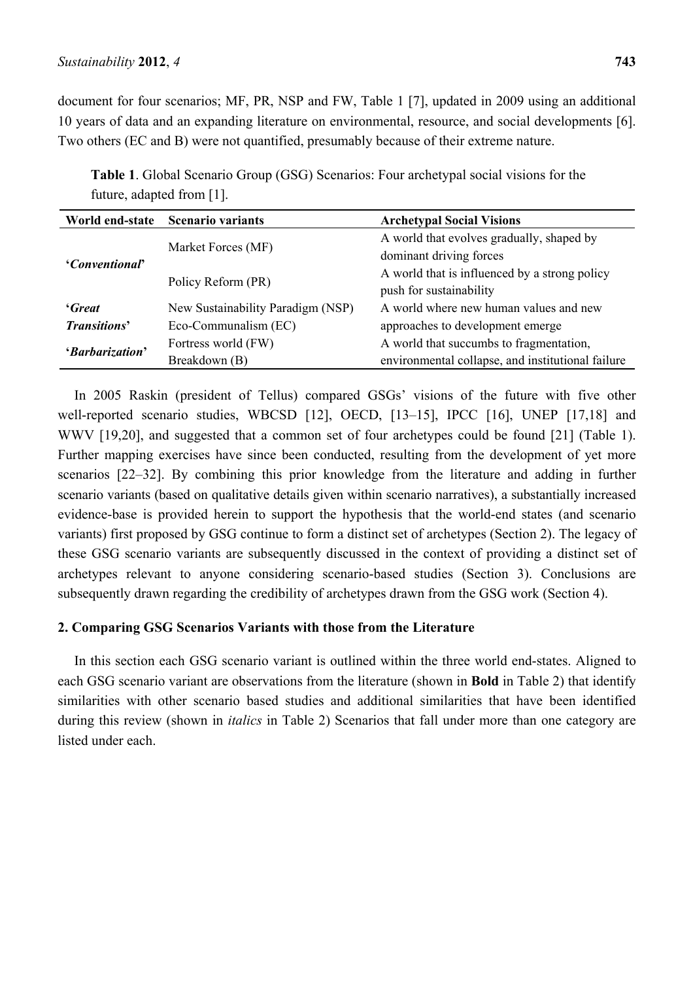document for four scenarios; MF, PR, NSP and FW, Table 1 [7], updated in 2009 using an additional 10 years of data and an expanding literature on environmental, resource, and social developments [6]. Two others (EC and B) were not quantified, presumably because of their extreme nature.

**Table 1**. Global Scenario Group (GSG) Scenarios: Four archetypal social visions for the future, adapted from [1].

|                                             | World end-state Scenario variants | <b>Archetypal Social Visions</b>                  |  |
|---------------------------------------------|-----------------------------------|---------------------------------------------------|--|
|                                             | Market Forces (MF)                | A world that evolves gradually, shaped by         |  |
| <i>'Conventional'</i>                       |                                   | dominant driving forces                           |  |
|                                             | Policy Reform (PR)                | A world that is influenced by a strong policy     |  |
|                                             |                                   | push for sustainability                           |  |
| <i>'Great</i>                               | New Sustainability Paradigm (NSP) | A world where new human values and new            |  |
| <b>Transitions'</b><br>Eco-Communalism (EC) |                                   | approaches to development emerge                  |  |
| 'Barbarization'                             | Fortress world (FW)               | A world that succumbs to fragmentation,           |  |
|                                             | Breakdown (B)                     | environmental collapse, and institutional failure |  |

In 2005 Raskin (president of Tellus) compared GSGs' visions of the future with five other well-reported scenario studies, WBCSD [12], OECD, [13-15], IPCC [16], UNEP [17,18] and WWV [19,20], and suggested that a common set of four archetypes could be found [21] (Table 1). Further mapping exercises have since been conducted, resulting from the development of yet more scenarios [22–32]. By combining this prior knowledge from the literature and adding in further scenario variants (based on qualitative details given within scenario narratives), a substantially increased evidence-base is provided herein to support the hypothesis that the world-end states (and scenario variants) first proposed by GSG continue to form a distinct set of archetypes (Section 2). The legacy of these GSG scenario variants are subsequently discussed in the context of providing a distinct set of archetypes relevant to anyone considering scenario-based studies (Section 3). Conclusions are subsequently drawn regarding the credibility of archetypes drawn from the GSG work (Section 4).

### **2. Comparing GSG Scenarios Variants with those from the Literature**

In this section each GSG scenario variant is outlined within the three world end-states. Aligned to each GSG scenario variant are observations from the literature (shown in **Bold** in Table 2) that identify similarities with other scenario based studies and additional similarities that have been identified during this review (shown in *italics* in Table 2) Scenarios that fall under more than one category are listed under each.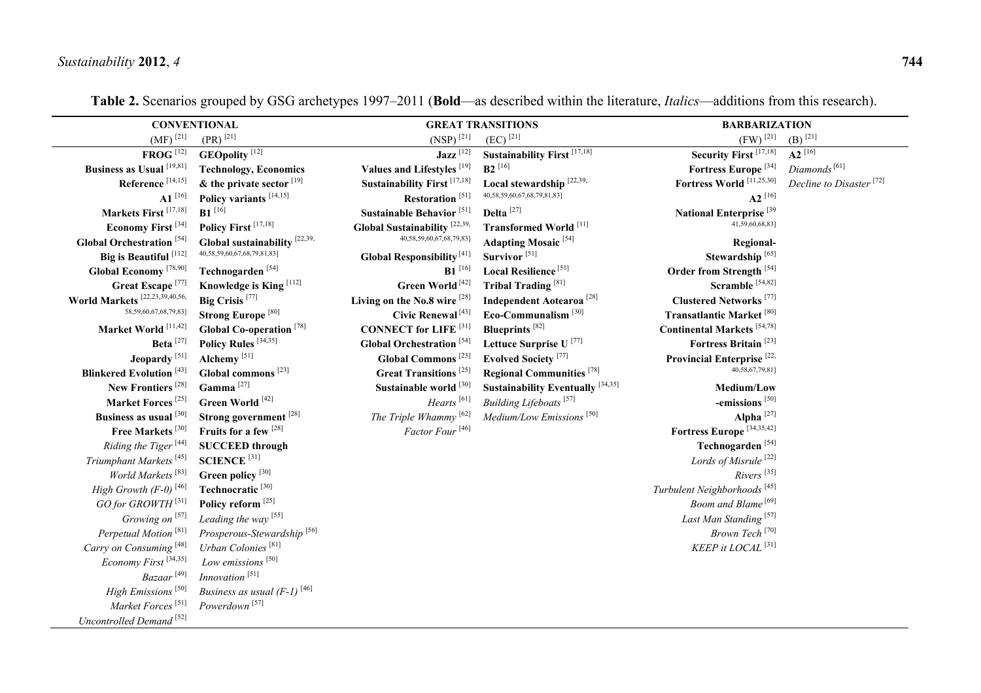|                                                 | <b>CONVENTIONAL</b>                       |                                                | <b>GREAT TRANSITIONS</b>                    | <b>BARBARIZATION</b>                      |                                     |
|-------------------------------------------------|-------------------------------------------|------------------------------------------------|---------------------------------------------|-------------------------------------------|-------------------------------------|
| $(MF)^{[21]}$                                   | $(PR)^{[21]}$                             | $(NSP)^{[21]}$                                 | $(EC)$ <sup>[21]</sup>                      | $(FW)^{[21]}$                             | (B) $^{[21]}$                       |
| $FROG$ <sup>[12]</sup>                          | <b>GEOpolity</b> <sup>[12]</sup>          | $\text{Jazz}$ <sup>[12]</sup>                  | Sustainability First $\frac{[17,18]}{]}$    | Security First <sup>[17,18]</sup>         | $A2^{16}$                           |
| Business as Usual <sup>[19,81]</sup>            | <b>Technology, Economics</b>              | Values and Lifestyles <sup>[19]</sup>          | $B2^{[16]}$                                 | Fortress Europe <sup>[34]</sup>           | Diamonds <sup>[61]</sup>            |
| Reference $^{\left[ 14,15\right] }$             | $\&$ the private sector $^{[19]}$         | <b>Sustainability First</b> <sup>[17,18]</sup> | Local stewardship <sup>[22,39,</sup>        | Fortress World <sup>[11,25,30]</sup>      | Decline to Disaster <sup>[72]</sup> |
| ${\bf A1}^{[16]}$                               | Policy variants <sup>[14,15]</sup>        | Restoration $^{\left[ 51\right] }$             | 40,58,59,60,67,68,79,81,83]                 | $A2^{[16]}$                               |                                     |
| Markets First <sup>[17,18]</sup>                | $B1$ <sup>[16]</sup>                      | Sustainable Behavior <sup>[51]</sup>           | Delta <sup>[27]</sup>                       | National Enterprise <sup>[39</sup>        |                                     |
| Economy First <sup>[34]</sup>                   | Policy First <sup>[17,18]</sup>           | Global Sustainability <sup>[22,39</sup> ,      | <b>Transformed World</b> [11]               | 41,59,60,68,83]                           |                                     |
| <b>Global Orchestration</b> <sup>[54]</sup>     | Global sustainability $[22,39,$           | 40,58,59,60,67,68,79,83]                       | <b>Adapting Mosaic</b> <sup>[54]</sup>      | Regional-                                 |                                     |
| Big is Beautiful <sup>[112]</sup>               | 40,58,59,60,67,68,79,81,83]               | <b>Global Responsibility</b> <sup>[41]</sup>   | Survivor <sup>[51]</sup>                    | Stewardship <sup>[65]</sup>               |                                     |
| Global Economy <sup>[78,90]</sup>               | Technogarden <sup>[54]</sup>              | $B1$ <sup>[16]</sup>                           | Local Resilience <sup>[51]</sup>            | Order from Strength <sup>[54]</sup>       |                                     |
| Great Escape <sup>[77]</sup>                    | Knowledge is King <sup>[112]</sup>        | Green World <sup>[42]</sup>                    | <b>Tribal Trading</b> <sup>[81]</sup>       | Scramble <sup>[54,82]</sup>               |                                     |
| World Markets $^{[22,23,\overline{39},40,56, }$ | Big Crisis <sup>[77]</sup>                | Living on the No.8 wire [28]                   | <b>Independent Aotearoa</b> <sup>[28]</sup> | <b>Clustered Networks</b> <sup>[77]</sup> |                                     |
| 58,59,60,67,68,79,83]                           | <b>Strong Europe<sup>[80]</sup></b>       | Civic Renewal <sup>[43]</sup>                  | Eco-Communalism <sup>[30]</sup>             | Transatlantic Market <sup>[80]</sup>      |                                     |
| Market World [11,42]                            | Global Co-operation <sup>[78]</sup>       | <b>CONNECT</b> for LIFE <sup>[31]</sup>        | <b>Blueprints</b> <sup>[82]</sup>           | <b>Continental Markets</b> [54,78]        |                                     |
| Beta $^{[27]}$                                  | Policy Rules <sup>[34,35]</sup>           | <b>Global Orchestration</b> <sup>[54]</sup>    | Lettuce Surprise U <sup>[77]</sup>          | Fortress Britain <sup>[23]</sup>          |                                     |
| Jeopardy <sup>[51]</sup>                        | Alchemy <sup>[51]</sup>                   | Global Commons <sup>[23]</sup>                 | <b>Evolved Society</b> <sup>[77]</sup>      | Provincial Enterprise <sup>[22,</sup>     |                                     |
| <b>Blinkered Evolution</b> <sup>[43]</sup>      | Global commons <sup>[23]</sup>            | <b>Great Transitions</b> <sup>[25]</sup>       | <b>Regional Communities</b> <sup>[78]</sup> | 40,58,67,79,81]                           |                                     |
| New Frontiers <sup>[28]</sup>                   | Gamma $^{\left[ 27\right] }$              | Sustainable world [30]                         | Sustainability Eventually $[34,35]$         | Medium/Low                                |                                     |
| Market Forces <sup>[25]</sup>                   | Green World <sup>[42]</sup>               | $Hearts$ <sup>[61]</sup>                       | Building Lifeboats <sup>[57]</sup>          | -emissions <sup>[50]</sup>                |                                     |
| Business as usual [30]                          | Strong government <sup>[28]</sup>         | The Triple Whammy <sup>[62]</sup>              | Medium/Low Emissions <sup>[50]</sup>        | Alpha $^{[27]}$                           |                                     |
| Free Markets <sup>[30]</sup>                    | Fruits for a few [28]                     | Factor Four <sup>[46]</sup>                    |                                             | Fortress Europe <sup>[34,35,42]</sup>     |                                     |
| Riding the Tiger <sup>[44]</sup>                | <b>SUCCEED</b> through                    |                                                |                                             | Technogarden <sup>[54]</sup>              |                                     |
| Triumphant Markets <sup>[45]</sup>              | $\mathbf{SCIENCE}$ [31]                   |                                                |                                             | Lords of Misrule <sup>[22]</sup>          |                                     |
| World Markets <sup>[83]</sup>                   | Green policy <sup>[30]</sup>              |                                                |                                             | $Rivers$ <sup>[35]</sup>                  |                                     |
| High Growth $(F-0)$ <sup>[46]</sup>             | Technocratic <sup>[30]</sup>              |                                                |                                             | Turbulent Neighborhoods <sup>[45]</sup>   |                                     |
| GO for GROWTH <sup>[31]</sup>                   | Policy reform <sup>[25]</sup>             |                                                |                                             | Boom and Blame <sup>[69]</sup>            |                                     |
| Growing on $[57]$                               | Leading the way <sup>[55]</sup>           |                                                |                                             | Last Man Standing <sup>[57]</sup>         |                                     |
| Perpetual Motion <sup>[81]</sup>                | Prosperous-Stewardship <sup>[56]</sup>    |                                                |                                             | Brown Tech <sup>[70]</sup>                |                                     |
| Carry on Consuming <sup>[48]</sup>              | Urban Colonies <sup>[81]</sup>            |                                                |                                             | KEEP it LOCAL <sup>[31]</sup>             |                                     |
| Economy First <sup>[34,35]</sup>                | Low emissions <sup>[50]</sup>             |                                                |                                             |                                           |                                     |
| $Bazaar$ <sup>[49]</sup>                        | Innovation <sup>[51]</sup>                |                                                |                                             |                                           |                                     |
| High Emissions <sup>[50]</sup>                  | Business as usual $(F-1)$ <sup>[46]</sup> |                                                |                                             |                                           |                                     |
| Market Forces <sup>[51]</sup>                   | Powerdown <sup>[57]</sup>                 |                                                |                                             |                                           |                                     |
| Uncontrolled Demand <sup>[52]</sup>             |                                           |                                                |                                             |                                           |                                     |

**Table 2.** Scenarios grouped by GSG archetypes 1997–2011 (**Bold**—as described within the literature, *Italics*—additions from this research).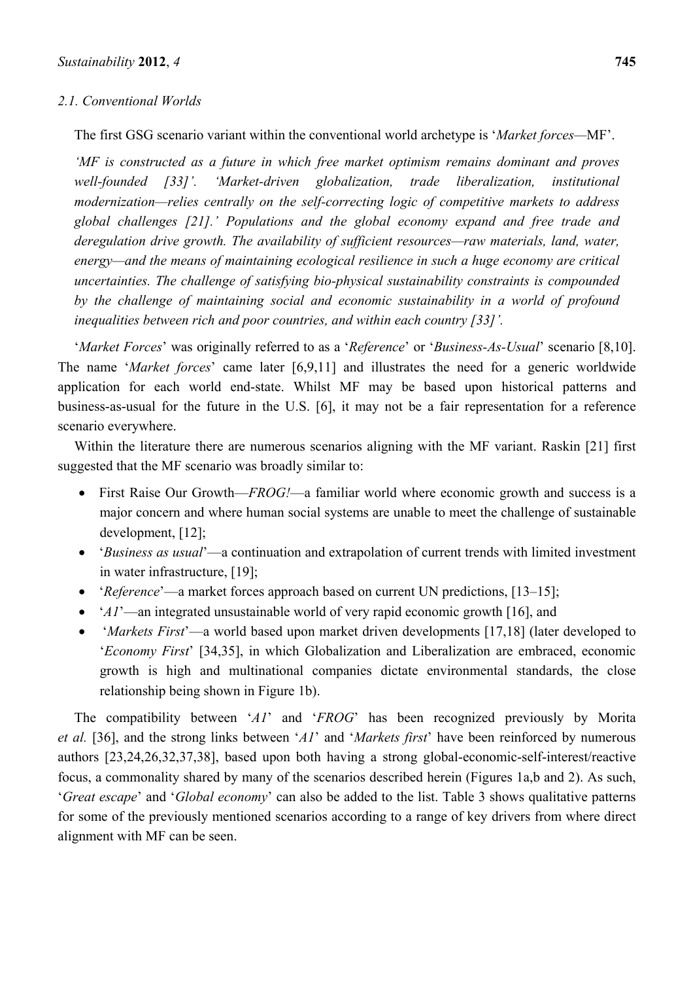#### *2.1. Conventional Worlds*

The first GSG scenario variant within the conventional world archetype is '*Market forces—*MF'.

*'MF is constructed as a future in which free market optimism remains dominant and proves well-founded [33]'. 'Market-driven globalization, trade liberalization, institutional modernization—relies centrally on the self-correcting logic of competitive markets to address global challenges [21].' Populations and the global economy expand and free trade and deregulation drive growth. The availability of sufficient resources—raw materials, land, water, energy—and the means of maintaining ecological resilience in such a huge economy are critical uncertainties. The challenge of satisfying bio-physical sustainability constraints is compounded by the challenge of maintaining social and economic sustainability in a world of profound inequalities between rich and poor countries, and within each country [33]'.* 

'*Market Forces*' was originally referred to as a '*Reference*' or '*Business-As-Usual*' scenario [8,10]. The name '*Market forces*' came later [6,9,11] and illustrates the need for a generic worldwide application for each world end-state. Whilst MF may be based upon historical patterns and business-as-usual for the future in the U.S. [6], it may not be a fair representation for a reference scenario everywhere.

Within the literature there are numerous scenarios aligning with the MF variant. Raskin [21] first suggested that the MF scenario was broadly similar to:

- First Raise Our Growth—*FROG!*—a familiar world where economic growth and success is a major concern and where human social systems are unable to meet the challenge of sustainable development, [12];
- '*Business as usual*'—a continuation and extrapolation of current trends with limited investment in water infrastructure, [19];
- '*Reference*'—a market forces approach based on current UN predictions, [13–15];
- '*A1*'—an integrated unsustainable world of very rapid economic growth [16], and
- '*Markets First*'—a world based upon market driven developments [17,18] (later developed to '*Economy First*' [34,35], in which Globalization and Liberalization are embraced, economic growth is high and multinational companies dictate environmental standards, the close relationship being shown in Figure 1b).

The compatibility between '*A1*' and '*FROG*' has been recognized previously by Morita *et al.* [36], and the strong links between '*A1*' and '*Markets first*' have been reinforced by numerous authors [23,24,26,32,37,38], based upon both having a strong global-economic-self-interest/reactive focus, a commonality shared by many of the scenarios described herein (Figures 1a,b and 2). As such, '*Great escape*' and '*Global economy*' can also be added to the list. Table 3 shows qualitative patterns for some of the previously mentioned scenarios according to a range of key drivers from where direct alignment with MF can be seen.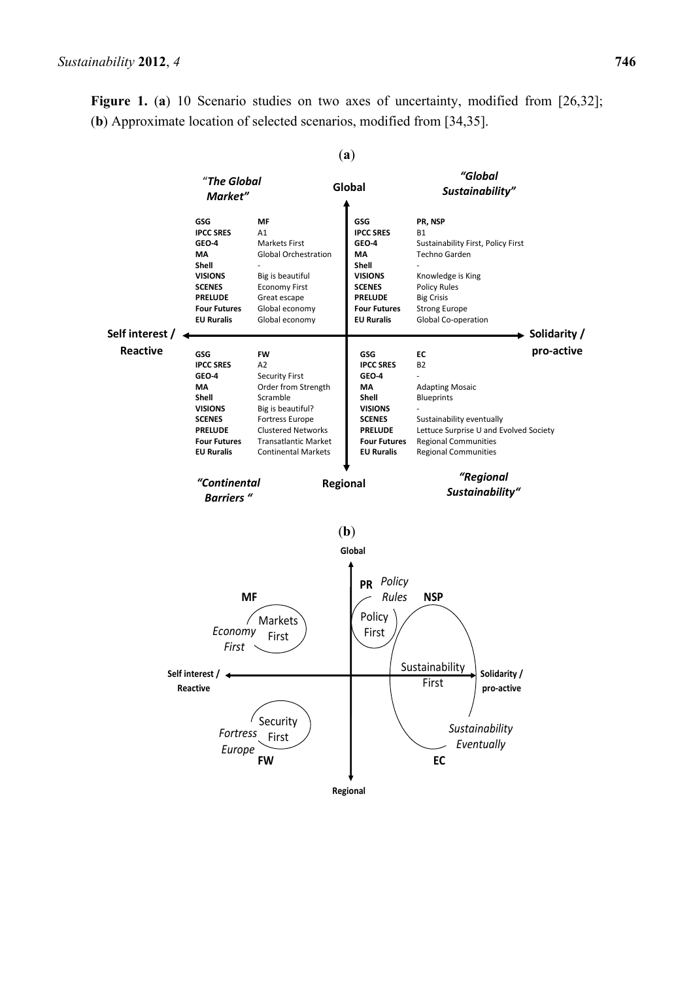**Figure 1.** (a) 10 Scenario studies on two axes of uncertainty, modified from [26,32]; (**b**) Approximate location of selected scenarios, modified from [34,35].

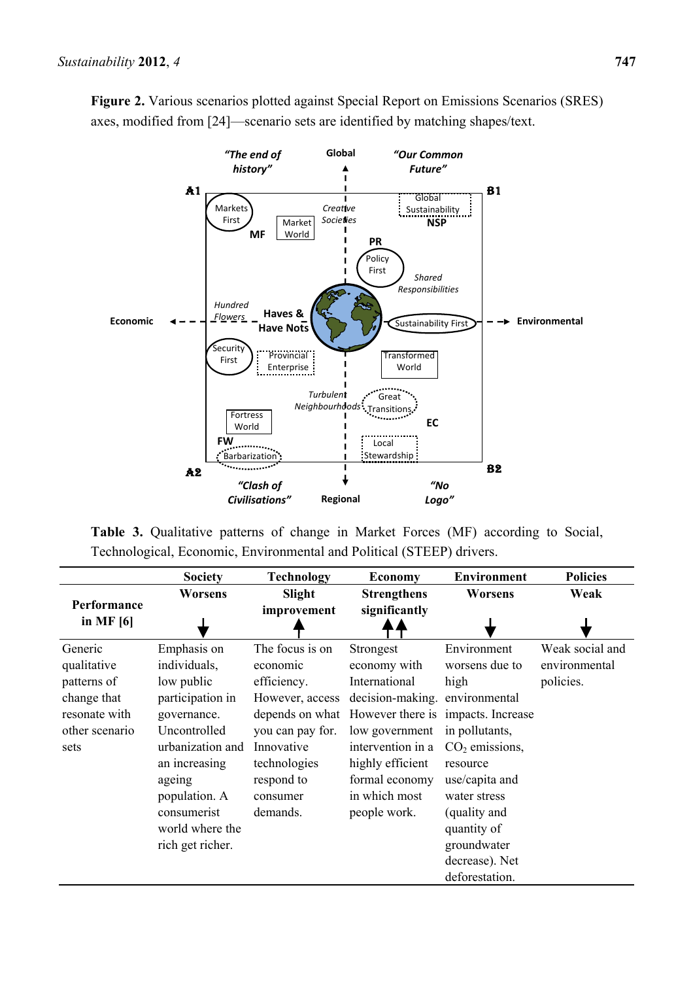

**Figure 2.** Various scenarios plotted against Special Report on Emissions Scenarios (SRES) axes, modified from [24]—scenario sets are identified by matching shapes/text.

**Table 3.** Qualitative patterns of change in Market Forces (MF) according to Social, Technological, Economic, Environmental and Political (STEEP) drivers.

|                                                                                                 | <b>Society</b>                                                                                                                                                                                                     | <b>Technology</b>                                                                                                                                     | <b>Economy</b>                                                                                                                                                                                                                                   | <b>Environment</b>                                                                                                                                                                                          | <b>Policies</b>                               |
|-------------------------------------------------------------------------------------------------|--------------------------------------------------------------------------------------------------------------------------------------------------------------------------------------------------------------------|-------------------------------------------------------------------------------------------------------------------------------------------------------|--------------------------------------------------------------------------------------------------------------------------------------------------------------------------------------------------------------------------------------------------|-------------------------------------------------------------------------------------------------------------------------------------------------------------------------------------------------------------|-----------------------------------------------|
|                                                                                                 | <b>Worsens</b>                                                                                                                                                                                                     | Slight                                                                                                                                                | <b>Strengthens</b>                                                                                                                                                                                                                               | Worsens                                                                                                                                                                                                     | Weak                                          |
| Performance<br>in MF $[6]$                                                                      |                                                                                                                                                                                                                    | improvement                                                                                                                                           | significantly                                                                                                                                                                                                                                    |                                                                                                                                                                                                             |                                               |
| Generic<br>qualitative<br>patterns of<br>change that<br>resonate with<br>other scenario<br>sets | Emphasis on<br>individuals,<br>low public<br>participation in<br>governance.<br>Uncontrolled<br>urbanization and<br>an increasing<br>ageing<br>population. A<br>consumerist<br>world where the<br>rich get richer. | The focus is on<br>economic<br>efficiency.<br>However, access<br>you can pay for.<br>Innovative<br>technologies<br>respond to<br>consumer<br>demands. | Strongest<br>economy with<br>International<br>decision-making. environmental<br>depends on what However there is impacts. Increase<br>low government<br>intervention in a<br>highly efficient<br>formal economy<br>in which most<br>people work. | Environment<br>worsens due to<br>high<br>in pollutants,<br>$CO2$ emissions,<br>resource<br>use/capita and<br>water stress<br>(quality and<br>quantity of<br>groundwater<br>decrease). Net<br>deforestation. | Weak social and<br>environmental<br>policies. |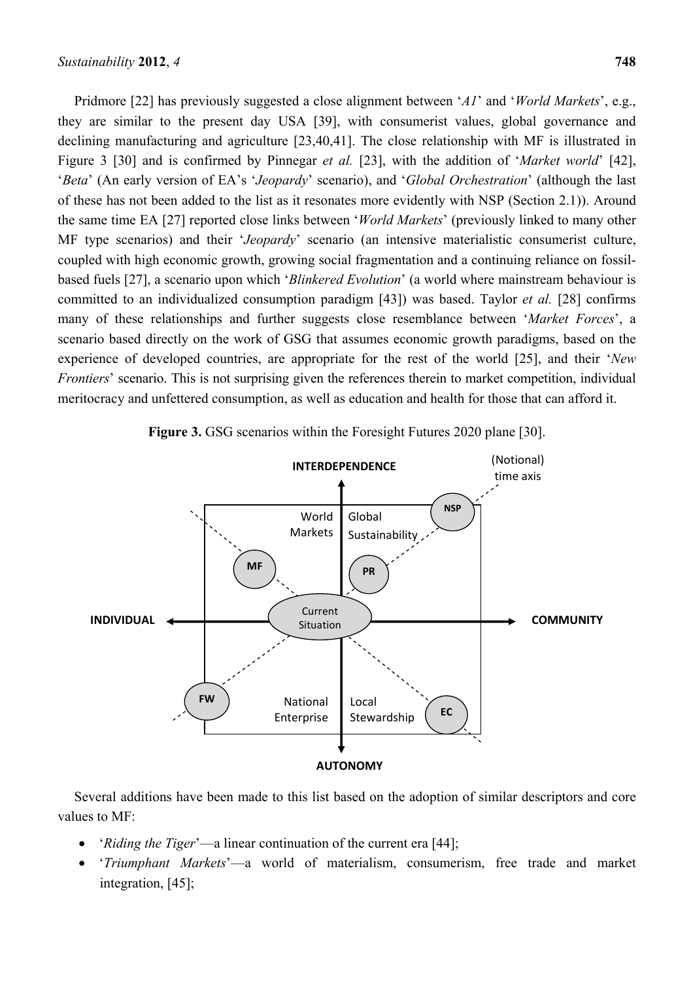Pridmore [22] has previously suggested a close alignment between '*A1*' and '*World Markets*', e.g., they are similar to the present day USA [39], with consumerist values, global governance and declining manufacturing and agriculture [23,40,41]. The close relationship with MF is illustrated in Figure 3 [30] and is confirmed by Pinnegar *et al.* [23], with the addition of '*Market world*' [42], '*Beta*' (An early version of EA's '*Jeopardy*' scenario), and '*Global Orchestration*' (although the last of these has not been added to the list as it resonates more evidently with NSP (Section 2.1)). Around the same time EA [27] reported close links between '*World Markets*' (previously linked to many other MF type scenarios) and their '*Jeopardy*' scenario (an intensive materialistic consumerist culture, coupled with high economic growth, growing social fragmentation and a continuing reliance on fossilbased fuels [27], a scenario upon which '*Blinkered Evolution*' (a world where mainstream behaviour is committed to an individualized consumption paradigm [43]) was based. Taylor *et al.* [28] confirms many of these relationships and further suggests close resemblance between '*Market Forces*', a scenario based directly on the work of GSG that assumes economic growth paradigms, based on the experience of developed countries, are appropriate for the rest of the world [25], and their '*New Frontiers*' scenario. This is not surprising given the references therein to market competition, individual meritocracy and unfettered consumption, as well as education and health for those that can afford it.



**Figure 3.** GSG scenarios within the Foresight Futures 2020 plane [30].

Several additions have been made to this list based on the adoption of similar descriptors and core values to MF:

- '*Riding the Tiger*'—a linear continuation of the current era [44];
- '*Triumphant Markets*'—a world of materialism, consumerism, free trade and market integration, [45];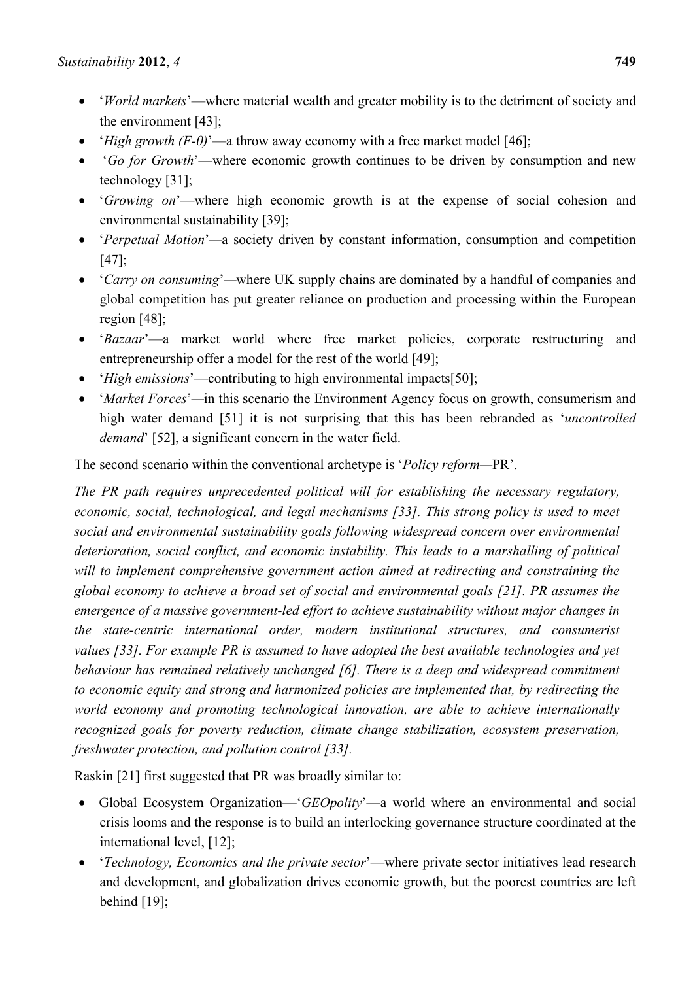- '*World markets*'—where material wealth and greater mobility is to the detriment of society and the environment [43];
- '*High growth (F-0)*'—a throw away economy with a free market model [46];
- '*Go for Growth*'—where economic growth continues to be driven by consumption and new technology [31];
- '*Growing on*'—where high economic growth is at the expense of social cohesion and environmental sustainability [39];
- '*Perpetual Motion*'*—*a society driven by constant information, consumption and competition [47];
- '*Carry on consuming*'*—*where UK supply chains are dominated by a handful of companies and global competition has put greater reliance on production and processing within the European region [48];
- '*Bazaar*'—a market world where free market policies, corporate restructuring and entrepreneurship offer a model for the rest of the world [49];
- '*High emissions*'—contributing to high environmental impacts[50];
- '*Market Forces*'*—*in this scenario the Environment Agency focus on growth, consumerism and high water demand [51] it is not surprising that this has been rebranded as '*uncontrolled demand*' [52], a significant concern in the water field.

The second scenario within the conventional archetype is '*Policy reform—*PR'.

*The PR path requires unprecedented political will for establishing the necessary regulatory, economic, social, technological, and legal mechanisms [33]. This strong policy is used to meet social and environmental sustainability goals following widespread concern over environmental deterioration, social conflict, and economic instability. This leads to a marshalling of political will to implement comprehensive government action aimed at redirecting and constraining the global economy to achieve a broad set of social and environmental goals [21]. PR assumes the emergence of a massive government-led effort to achieve sustainability without major changes in the state-centric international order, modern institutional structures, and consumerist values [33]. For example PR is assumed to have adopted the best available technologies and yet behaviour has remained relatively unchanged [6]. There is a deep and widespread commitment to economic equity and strong and harmonized policies are implemented that, by redirecting the world economy and promoting technological innovation, are able to achieve internationally recognized goals for poverty reduction, climate change stabilization, ecosystem preservation, freshwater protection, and pollution control [33].* 

Raskin [21] first suggested that PR was broadly similar to:

- Global Ecosystem Organization—'*GEOpolity*'—a world where an environmental and social crisis looms and the response is to build an interlocking governance structure coordinated at the international level, [12];
- '*Technology, Economics and the private sector*'—where private sector initiatives lead research and development, and globalization drives economic growth, but the poorest countries are left behind [19]: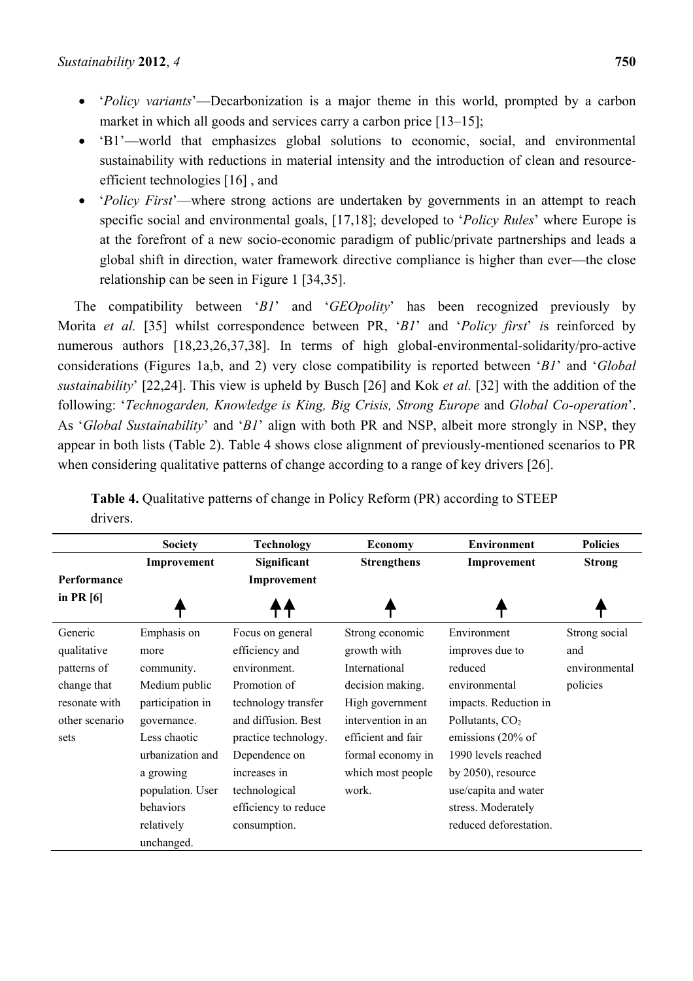- '*Policy variants*'—Decarbonization is a major theme in this world, prompted by a carbon market in which all goods and services carry a carbon price [13–15];
- 'B1'—world that emphasizes global solutions to economic, social, and environmental sustainability with reductions in material intensity and the introduction of clean and resourceefficient technologies [16] , and
- '*Policy First*'—where strong actions are undertaken by governments in an attempt to reach specific social and environmental goals, [17,18]; developed to '*Policy Rules*' where Europe is at the forefront of a new socio-economic paradigm of public/private partnerships and leads a global shift in direction, water framework directive compliance is higher than ever—the close relationship can be seen in Figure 1 [34,35].

The compatibility between '*B1*' and '*GEOpolity*' has been recognized previously by Morita *et al.* [35] whilst correspondence between PR, '*B1*' and '*Policy first*' *i*s reinforced by numerous authors [18,23,26,37,38]. In terms of high global-environmental-solidarity/pro-active considerations (Figures 1a,b, and 2) very close compatibility is reported between '*B1*' and '*Global sustainability*' [22,24]. This view is upheld by Busch [26] and Kok *et al.* [32] with the addition of the following: '*Technogarden, Knowledge is King, Big Crisis, Strong Europe* and *Global Co-operation*'. As '*Global Sustainability*' and '*B1*' align with both PR and NSP, albeit more strongly in NSP, they appear in both lists (Table 2). Table 4 shows close alignment of previously-mentioned scenarios to PR when considering qualitative patterns of change according to a range of key drivers [26].

|                | <b>Society</b>   | <b>Technology</b>    | <b>Economy</b>     | <b>Environment</b>     | <b>Policies</b> |
|----------------|------------------|----------------------|--------------------|------------------------|-----------------|
|                | Improvement      | Significant          | <b>Strengthens</b> | Improvement            | <b>Strong</b>   |
| Performance    |                  | Improvement          |                    |                        |                 |
| in PR $[6]$    |                  |                      |                    |                        |                 |
| Generic        | Emphasis on      | Focus on general     | Strong economic    | Environment            | Strong social   |
| qualitative    | more             | efficiency and       | growth with        | improves due to        | and             |
| patterns of    | community.       | environment.         | International      | reduced                | environmental   |
| change that    | Medium public    | Promotion of         | decision making.   | environmental          | policies        |
| resonate with  | participation in | technology transfer  | High government    | impacts. Reduction in  |                 |
| other scenario | governance.      | and diffusion. Best  | intervention in an | Pollutants, $CO2$      |                 |
| sets           | Less chaotic     | practice technology. | efficient and fair | emissions (20% of      |                 |
|                | urbanization and | Dependence on        | formal economy in  | 1990 levels reached    |                 |
|                | a growing        | increases in         | which most people  | by $2050$ , resource   |                 |
|                | population. User | technological        | work.              | use/capita and water   |                 |
|                | behaviors        | efficiency to reduce |                    | stress. Moderately     |                 |
|                | relatively       | consumption.         |                    | reduced deforestation. |                 |
|                | unchanged.       |                      |                    |                        |                 |

**Table 4.** Qualitative patterns of change in Policy Reform (PR) according to STEEP drivers.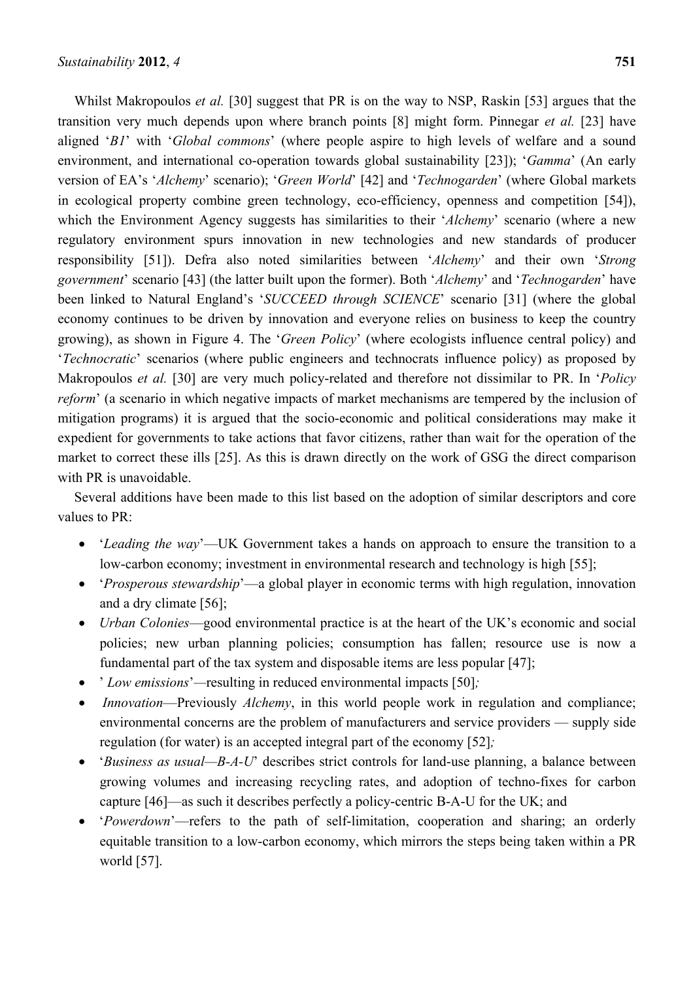Whilst Makropoulos *et al.* [30] suggest that PR is on the way to NSP, Raskin [53] argues that the transition very much depends upon where branch points [8] might form. Pinnegar *et al.* [23] have aligned '*B1*' with '*Global commons*' (where people aspire to high levels of welfare and a sound environment, and international co-operation towards global sustainability [23]); '*Gamma*' (An early version of EA's '*Alchemy*' scenario); '*Green World*' [42] and '*Technogarden*' (where Global markets in ecological property combine green technology, eco-efficiency, openness and competition [54]), which the Environment Agency suggests has similarities to their '*Alchemy*' scenario (where a new regulatory environment spurs innovation in new technologies and new standards of producer responsibility [51]). Defra also noted similarities between '*Alchemy*' and their own '*Strong government*' scenario [43] (the latter built upon the former). Both '*Alchemy*' and '*Technogarden*' have been linked to Natural England's '*SUCCEED through SCIENCE*' scenario [31] (where the global economy continues to be driven by innovation and everyone relies on business to keep the country growing), as shown in Figure 4. The '*Green Policy*' (where ecologists influence central policy) and '*Technocratic*' scenarios (where public engineers and technocrats influence policy) as proposed by Makropoulos *et al.* [30] are very much policy-related and therefore not dissimilar to PR. In '*Policy reform*' (a scenario in which negative impacts of market mechanisms are tempered by the inclusion of mitigation programs) it is argued that the socio-economic and political considerations may make it expedient for governments to take actions that favor citizens, rather than wait for the operation of the market to correct these ills [25]. As this is drawn directly on the work of GSG the direct comparison with PR is unavoidable.

Several additions have been made to this list based on the adoption of similar descriptors and core values to PR:

- '*Leading the way*'—UK Government takes a hands on approach to ensure the transition to a low-carbon economy; investment in environmental research and technology is high [55];
- '*Prosperous stewardship*'—a global player in economic terms with high regulation, innovation and a dry climate [56];
- *Urban Colonies*—good environmental practice is at the heart of the UK's economic and social policies; new urban planning policies; consumption has fallen; resource use is now a fundamental part of the tax system and disposable items are less popular [47];
- ' *Low emissions*'*—*resulting in reduced environmental impacts [50]*;*
- *Innovation*—Previously *Alchemy*, in this world people work in regulation and compliance; environmental concerns are the problem of manufacturers and service providers — supply side regulation (for water) is an accepted integral part of the economy [52]*;*
- '*Business as usual—B-A-U*' describes strict controls for land-use planning, a balance between growing volumes and increasing recycling rates, and adoption of techno-fixes for carbon capture [46]—as such it describes perfectly a policy-centric B-A-U for the UK; and
- '*Powerdown*'—refers to the path of self-limitation, cooperation and sharing; an orderly equitable transition to a low-carbon economy, which mirrors the steps being taken within a PR world [57].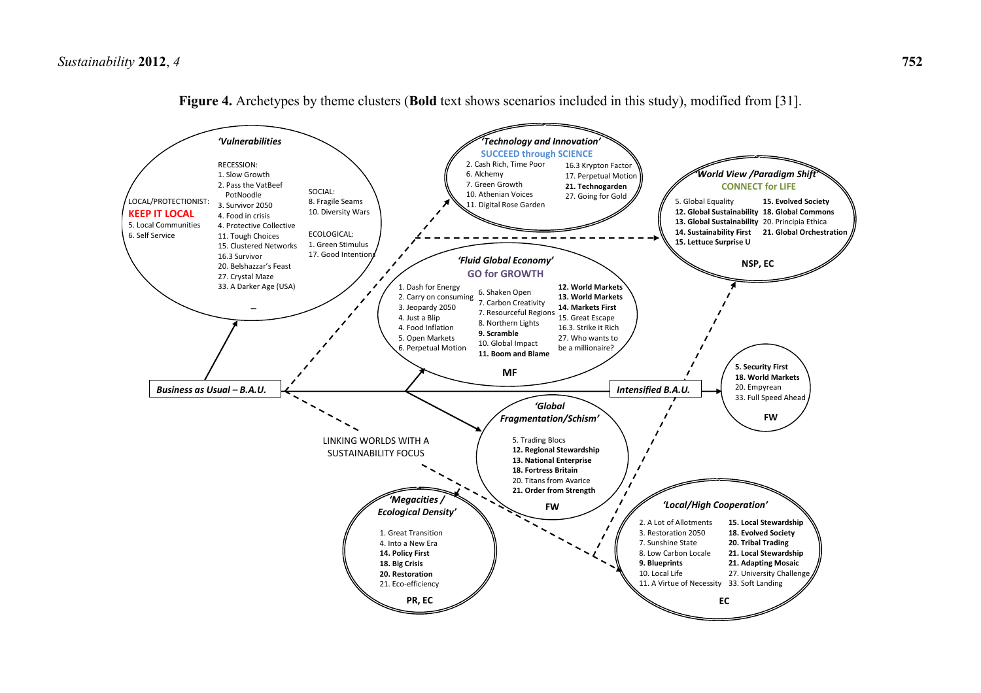

**Figure 4.** Archetypes by theme clusters (**Bold** text shows scenarios included in this study), modified from [31].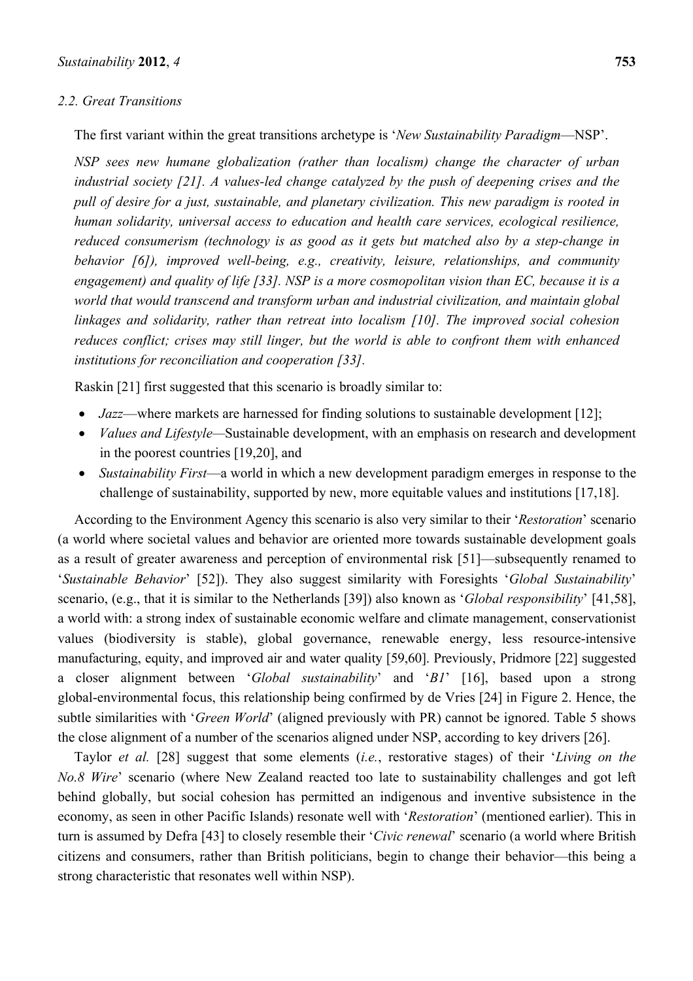#### *2.2. Great Transitions*

The first variant within the great transitions archetype is '*New Sustainability Paradigm*—NSP'.

*NSP sees new humane globalization (rather than localism) change the character of urban industrial society [21]. A values-led change catalyzed by the push of deepening crises and the pull of desire for a just, sustainable, and planetary civilization. This new paradigm is rooted in human solidarity, universal access to education and health care services, ecological resilience, reduced consumerism (technology is as good as it gets but matched also by a step-change in behavior [6]), improved well-being, e.g., creativity, leisure, relationships, and community engagement) and quality of life [33]. NSP is a more cosmopolitan vision than EC, because it is a world that would transcend and transform urban and industrial civilization, and maintain global linkages and solidarity, rather than retreat into localism [10]. The improved social cohesion reduces conflict; crises may still linger, but the world is able to confront them with enhanced institutions for reconciliation and cooperation [33].*

Raskin [21] first suggested that this scenario is broadly similar to:

- *Jazz*—where markets are harnessed for finding solutions to sustainable development [12];
- *Values and Lifestyle—*Sustainable development, with an emphasis on research and development in the poorest countries [19,20], and
- *Sustainability First*—a world in which a new development paradigm emerges in response to the challenge of sustainability, supported by new, more equitable values and institutions [17,18].

According to the Environment Agency this scenario is also very similar to their '*Restoration*' scenario (a world where societal values and behavior are oriented more towards sustainable development goals as a result of greater awareness and perception of environmental risk [51]—subsequently renamed to '*Sustainable Behavior*' [52]). They also suggest similarity with Foresights '*Global Sustainability*' scenario, (e.g., that it is similar to the Netherlands [39]) also known as '*Global responsibility*' [41,58], a world with: a strong index of sustainable economic welfare and climate management, conservationist values (biodiversity is stable), global governance, renewable energy, less resource-intensive manufacturing, equity, and improved air and water quality [59,60]. Previously, Pridmore [22] suggested a closer alignment between '*Global sustainability*' and '*B1*' [16], based upon a strong global-environmental focus, this relationship being confirmed by de Vries [24] in Figure 2. Hence, the subtle similarities with '*Green World*' (aligned previously with PR) cannot be ignored. Table 5 shows the close alignment of a number of the scenarios aligned under NSP, according to key drivers [26].

Taylor *et al.* [28] suggest that some elements (*i.e.*, restorative stages) of their '*Living on the No.8 Wire*' scenario (where New Zealand reacted too late to sustainability challenges and got left behind globally, but social cohesion has permitted an indigenous and inventive subsistence in the economy, as seen in other Pacific Islands) resonate well with '*Restoration*' (mentioned earlier). This in turn is assumed by Defra [43] to closely resemble their '*Civic renewal*' scenario (a world where British citizens and consumers, rather than British politicians, begin to change their behavior—this being a strong characteristic that resonates well within NSP).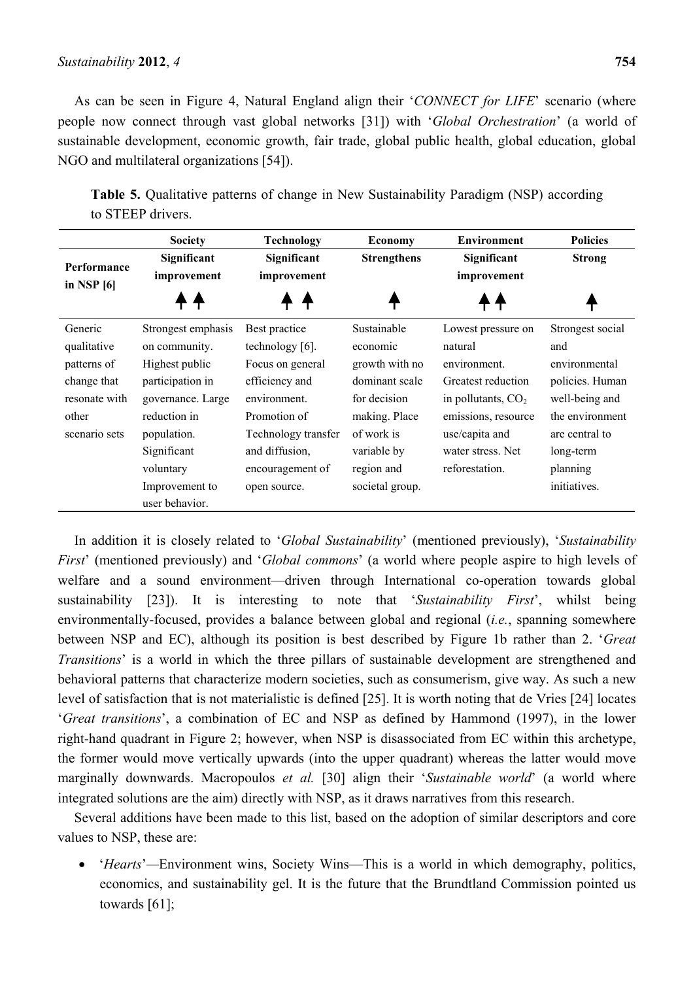#### *Sustainability* **2012**, *4* **754**

As can be seen in Figure 4, Natural England align their '*CONNECT for LIFE*' scenario (where people now connect through vast global networks [31]) with '*Global Orchestration*' (a world of sustainable development, economic growth, fair trade, global public health, global education, global NGO and multilateral organizations [54]).

**Table 5.** Qualitative patterns of change in New Sustainability Paradigm (NSP) according to STEEP drivers.

|                                                                                                 | <b>Society</b>                                                                                                                                                                                | <b>Technology</b>                                                                                                                                                                   | <b>Economy</b>                                                                                                                                             | <b>Environment</b>                                                                                                                                                          | <b>Policies</b>                                                                                                                                             |
|-------------------------------------------------------------------------------------------------|-----------------------------------------------------------------------------------------------------------------------------------------------------------------------------------------------|-------------------------------------------------------------------------------------------------------------------------------------------------------------------------------------|------------------------------------------------------------------------------------------------------------------------------------------------------------|-----------------------------------------------------------------------------------------------------------------------------------------------------------------------------|-------------------------------------------------------------------------------------------------------------------------------------------------------------|
| Performance<br>in NSP $[6]$                                                                     | Significant<br>improvement                                                                                                                                                                    | Significant<br>improvement                                                                                                                                                          | <b>Strengthens</b>                                                                                                                                         | Significant<br>improvement                                                                                                                                                  | <b>Strong</b>                                                                                                                                               |
|                                                                                                 |                                                                                                                                                                                               |                                                                                                                                                                                     |                                                                                                                                                            |                                                                                                                                                                             |                                                                                                                                                             |
| Generic<br>qualitative<br>patterns of<br>change that<br>resonate with<br>other<br>scenario sets | Strongest emphasis<br>on community.<br>Highest public<br>participation in<br>governance. Large<br>reduction in<br>population.<br>Significant<br>voluntary<br>Improvement to<br>user behavior. | Best practice<br>technology [6].<br>Focus on general<br>efficiency and<br>environment.<br>Promotion of<br>Technology transfer<br>and diffusion,<br>encouragement of<br>open source. | Sustainable<br>economic<br>growth with no<br>dominant scale<br>for decision<br>making. Place<br>of work is<br>variable by<br>region and<br>societal group. | Lowest pressure on<br>natural<br>environment.<br>Greatest reduction<br>in pollutants, $CO2$<br>emissions, resource<br>use/capita and<br>water stress. Net<br>reforestation. | Strongest social<br>and<br>environmental<br>policies. Human<br>well-being and<br>the environment<br>are central to<br>long-term<br>planning<br>initiatives. |

In addition it is closely related to '*Global Sustainability*' (mentioned previously), '*Sustainability First*' (mentioned previously) and '*Global commons*' (a world where people aspire to high levels of welfare and a sound environment—driven through International co-operation towards global sustainability [23]). It is interesting to note that '*Sustainability First*', whilst being environmentally-focused, provides a balance between global and regional (*i.e.*, spanning somewhere between NSP and EC), although its position is best described by Figure 1b rather than 2. '*Great Transitions*' is a world in which the three pillars of sustainable development are strengthened and behavioral patterns that characterize modern societies, such as consumerism, give way. As such a new level of satisfaction that is not materialistic is defined [25]. It is worth noting that de Vries [24] locates '*Great transitions*', a combination of EC and NSP as defined by Hammond (1997), in the lower right-hand quadrant in Figure 2; however, when NSP is disassociated from EC within this archetype, the former would move vertically upwards (into the upper quadrant) whereas the latter would move marginally downwards. Macropoulos *et al.* [30] align their '*Sustainable world*' (a world where integrated solutions are the aim) directly with NSP, as it draws narratives from this research.

Several additions have been made to this list, based on the adoption of similar descriptors and core values to NSP, these are:

 '*Hearts*'*—*Environment wins, Society Wins—This is a world in which demography, politics, economics, and sustainability gel. It is the future that the Brundtland Commission pointed us towards [61];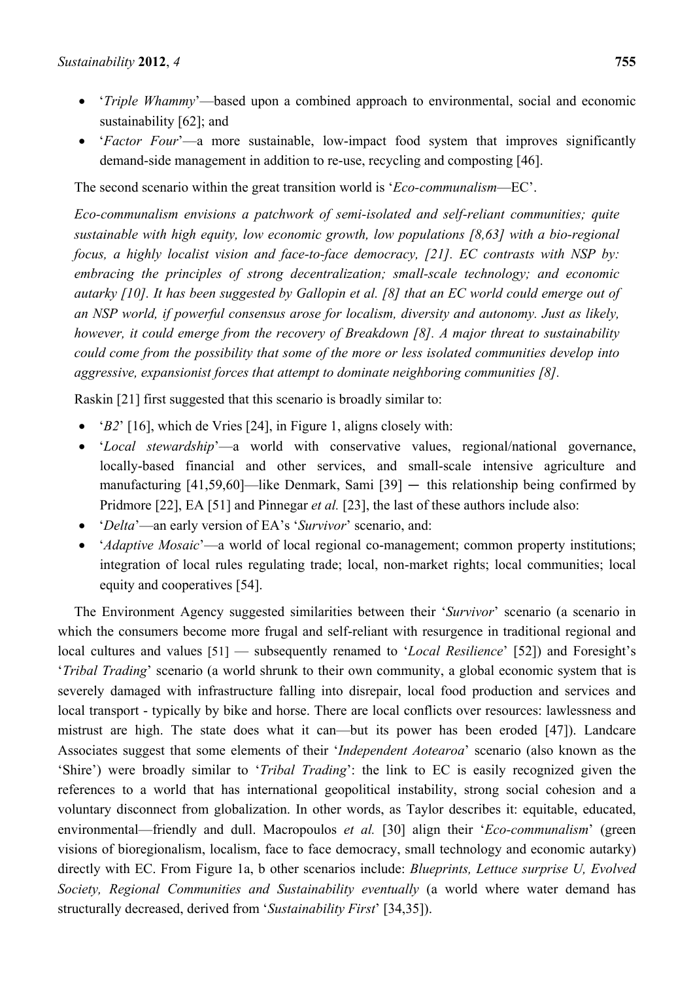- '*Triple Whammy*'—based upon a combined approach to environmental, social and economic sustainability [62]; and
- '*Factor Four*'—a more sustainable, low-impact food system that improves significantly demand-side management in addition to re-use, recycling and composting [46].

The second scenario within the great transition world is '*Eco-communalism*—EC'.

*Eco-communalism envisions a patchwork of semi-isolated and self-reliant communities; quite sustainable with high equity, low economic growth, low populations [8,63] with a bio-regional focus, a highly localist vision and face-to-face democracy, [21]. EC contrasts with NSP by: embracing the principles of strong decentralization; small-scale technology; and economic autarky [10]. It has been suggested by Gallopin et al. [8] that an EC world could emerge out of an NSP world, if powerful consensus arose for localism, diversity and autonomy. Just as likely, however, it could emerge from the recovery of Breakdown [8]. A major threat to sustainability could come from the possibility that some of the more or less isolated communities develop into aggressive, expansionist forces that attempt to dominate neighboring communities [8].*

Raskin [21] first suggested that this scenario is broadly similar to:

- '*B2*' [16], which de Vries [24], in Figure 1, aligns closely with:
- '*Local stewardship*'—a world with conservative values, regional/national governance, locally-based financial and other services, and small-scale intensive agriculture and manufacturing  $[41,59,60]$ —like Denmark, Sami  $[39]$  — this relationship being confirmed by Pridmore [22], EA [51] and Pinnegar *et al.* [23], the last of these authors include also:
- '*Delta*'—an early version of EA's '*Survivor*' scenario, and:
- '*Adaptive Mosaic*'—a world of local regional co-management; common property institutions; integration of local rules regulating trade; local, non-market rights; local communities; local equity and cooperatives [54].

The Environment Agency suggested similarities between their '*Survivor*' scenario (a scenario in which the consumers become more frugal and self-reliant with resurgence in traditional regional and local cultures and values [51] — subsequently renamed to '*Local Resilience*' [52]) and Foresight's '*Tribal Trading*' scenario (a world shrunk to their own community, a global economic system that is severely damaged with infrastructure falling into disrepair, local food production and services and local transport - typically by bike and horse. There are local conflicts over resources: lawlessness and mistrust are high. The state does what it can—but its power has been eroded [47]). Landcare Associates suggest that some elements of their '*Independent Aotearoa*' scenario (also known as the 'Shire') were broadly similar to '*Tribal Trading*': the link to EC is easily recognized given the references to a world that has international geopolitical instability, strong social cohesion and a voluntary disconnect from globalization. In other words, as Taylor describes it: equitable, educated, environmental—friendly and dull. Macropoulos *et al.* [30] align their '*Eco-communalism*' (green visions of bioregionalism, localism, face to face democracy, small technology and economic autarky) directly with EC. From Figure 1a, b other scenarios include: *Blueprints, Lettuce surprise U, Evolved Society, Regional Communities and Sustainability eventually* (a world where water demand has structurally decreased, derived from '*Sustainability First*' [34,35]).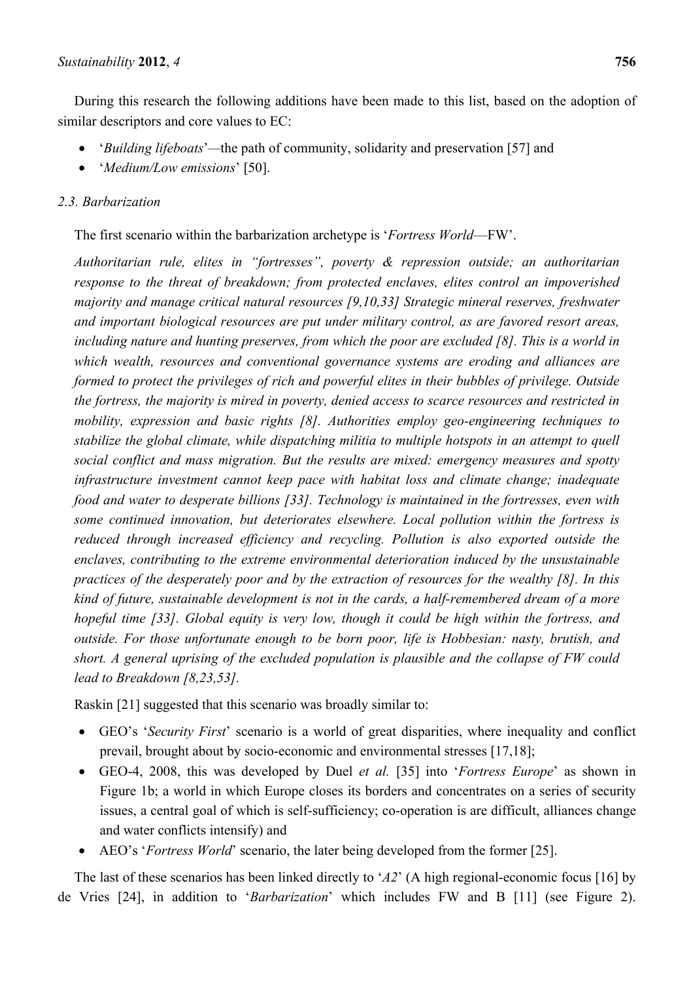During this research the following additions have been made to this list, based on the adoption of similar descriptors and core values to EC:

- '*Building lifeboats*'*—*the path of community, solidarity and preservation [57] and
- '*Medium/Low emissions*' [50].

### *2.3. Barbarization*

The first scenario within the barbarization archetype is '*Fortress World*—FW'.

*Authoritarian rule, elites in "fortresses", poverty & repression outside; an authoritarian response to the threat of breakdown; from protected enclaves, elites control an impoverished majority and manage critical natural resources [9,10,33] Strategic mineral reserves, freshwater and important biological resources are put under military control, as are favored resort areas,*  including nature and hunting preserves, from which the poor are excluded [8]. This is a world in *which wealth, resources and conventional governance systems are eroding and alliances are formed to protect the privileges of rich and powerful elites in their bubbles of privilege. Outside the fortress, the majority is mired in poverty, denied access to scarce resources and restricted in mobility, expression and basic rights [8]. Authorities employ geo-engineering techniques to stabilize the global climate, while dispatching militia to multiple hotspots in an attempt to quell social conflict and mass migration. But the results are mixed: emergency measures and spotty infrastructure investment cannot keep pace with habitat loss and climate change; inadequate food and water to desperate billions [33]. Technology is maintained in the fortresses, even with some continued innovation, but deteriorates elsewhere. Local pollution within the fortress is reduced through increased efficiency and recycling. Pollution is also exported outside the enclaves, contributing to the extreme environmental deterioration induced by the unsustainable practices of the desperately poor and by the extraction of resources for the wealthy [8]. In this kind of future, sustainable development is not in the cards, a half-remembered dream of a more hopeful time [33]. Global equity is very low, though it could be high within the fortress, and outside. For those unfortunate enough to be born poor, life is Hobbesian: nasty, brutish, and short. A general uprising of the excluded population is plausible and the collapse of FW could lead to Breakdown [8,23,53].* 

Raskin [21] suggested that this scenario was broadly similar to:

- GEO's '*Security First*' scenario is a world of great disparities, where inequality and conflict prevail, brought about by socio-economic and environmental stresses [17,18];
- GEO-4, 2008, this was developed by Duel *et al.* [35] into '*Fortress Europe*' as shown in Figure 1b; a world in which Europe closes its borders and concentrates on a series of security issues, a central goal of which is self-sufficiency; co-operation is are difficult, alliances change and water conflicts intensify) and
- AEO's '*Fortress World*' scenario, the later being developed from the former [25].

The last of these scenarios has been linked directly to '*A2*' (A high regional-economic focus [16] by de Vries [24], in addition to '*Barbarization*' which includes FW and B [11] (see Figure 2).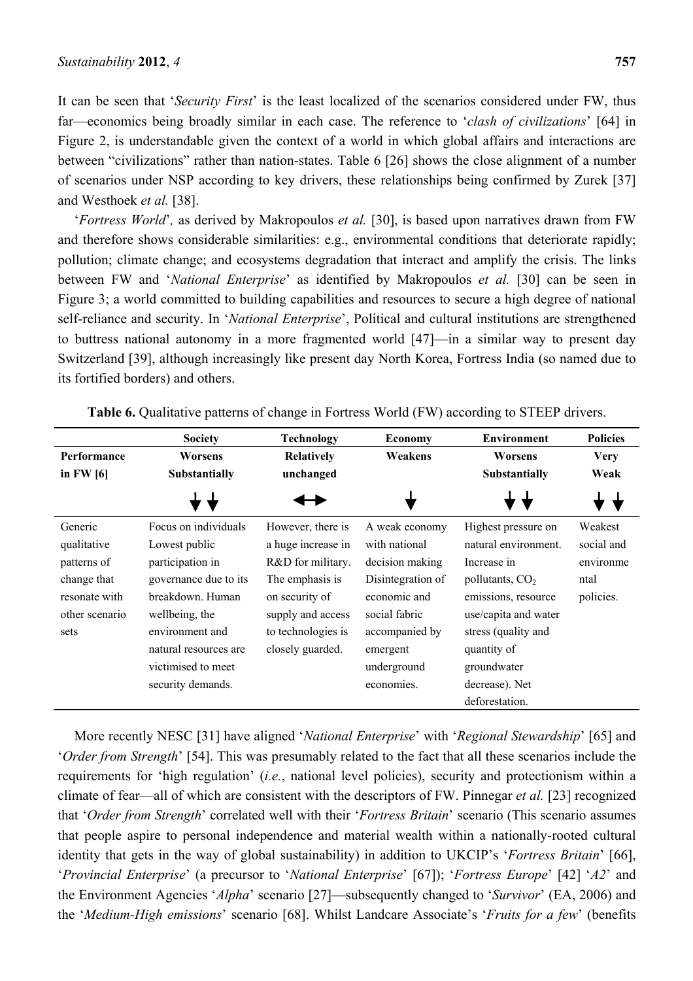It can be seen that '*Security First*' is the least localized of the scenarios considered under FW, thus far—economics being broadly similar in each case. The reference to '*clash of civilizations*' [64] in Figure 2, is understandable given the context of a world in which global affairs and interactions are between "civilizations" rather than nation-states. Table 6 [26] shows the close alignment of a number of scenarios under NSP according to key drivers, these relationships being confirmed by Zurek [37] and Westhoek *et al.* [38].

'*Fortress World*'*,* as derived by Makropoulos *et al.* [30], is based upon narratives drawn from FW and therefore shows considerable similarities: e.g., environmental conditions that deteriorate rapidly; pollution; climate change; and ecosystems degradation that interact and amplify the crisis. The links between FW and '*National Enterprise*' as identified by Makropoulos *et al.* [30] can be seen in Figure 3; a world committed to building capabilities and resources to secure a high degree of national self-reliance and security. In '*National Enterprise*', Political and cultural institutions are strengthened to buttress national autonomy in a more fragmented world [47]—in a similar way to present day Switzerland [39], although increasingly like present day North Korea, Fortress India (so named due to its fortified borders) and others.

|                | <b>Society</b>        | <b>Technology</b>  | <b>Economy</b>    | <b>Environment</b>   | <b>Policies</b> |
|----------------|-----------------------|--------------------|-------------------|----------------------|-----------------|
| Performance    | Worsens               | Relatively         | Weakens           | Worsens              | <b>Very</b>     |
| in $FW[6]$     | Substantially         | unchanged          |                   | Substantially        | Weak            |
|                |                       |                    |                   |                      |                 |
| Generic        | Focus on individuals  | However, there is  | A weak economy    | Highest pressure on  | Weakest         |
| qualitative    | Lowest public         | a huge increase in | with national     | natural environment. | social and      |
| patterns of    | participation in      | R&D for military.  | decision making   | Increase in          | environme       |
| change that    | governance due to its | The emphasis is    | Disintegration of | pollutants, $CO2$    | ntal            |
| resonate with  | breakdown. Human      | on security of     | economic and      | emissions, resource  | policies.       |
| other scenario | wellbeing, the        | supply and access  | social fabric     | use/capita and water |                 |
| sets           | environment and       | to technologies is | accompanied by    | stress (quality and  |                 |
|                | natural resources are | closely guarded.   | emergent          | quantity of          |                 |
|                | victimised to meet    |                    | underground       | groundwater          |                 |
|                | security demands.     |                    | economies.        | decrease). Net       |                 |
|                |                       |                    |                   | deforestation.       |                 |

Table 6. Qualitative patterns of change in Fortress World (FW) according to STEEP drivers.

More recently NESC [31] have aligned '*National Enterprise*' with '*Regional Stewardship*' [65] and '*Order from Strength*' [54]. This was presumably related to the fact that all these scenarios include the requirements for 'high regulation' (*i.e.*, national level policies), security and protectionism within a climate of fear—all of which are consistent with the descriptors of FW. Pinnegar *et al.* [23] recognized that '*Order from Strength*' correlated well with their '*Fortress Britain*' scenario (This scenario assumes that people aspire to personal independence and material wealth within a nationally-rooted cultural identity that gets in the way of global sustainability) in addition to UKCIP's '*Fortress Britain*' [66], '*Provincial Enterprise*' (a precursor to '*National Enterprise*' [67]); '*Fortress Europe*' [42] '*A2*' and the Environment Agencies '*Alpha*' scenario [27]—subsequently changed to '*Survivor*' (EA, 2006) and the '*Medium-High emissions*' scenario [68]. Whilst Landcare Associate's '*Fruits for a few*' (benefits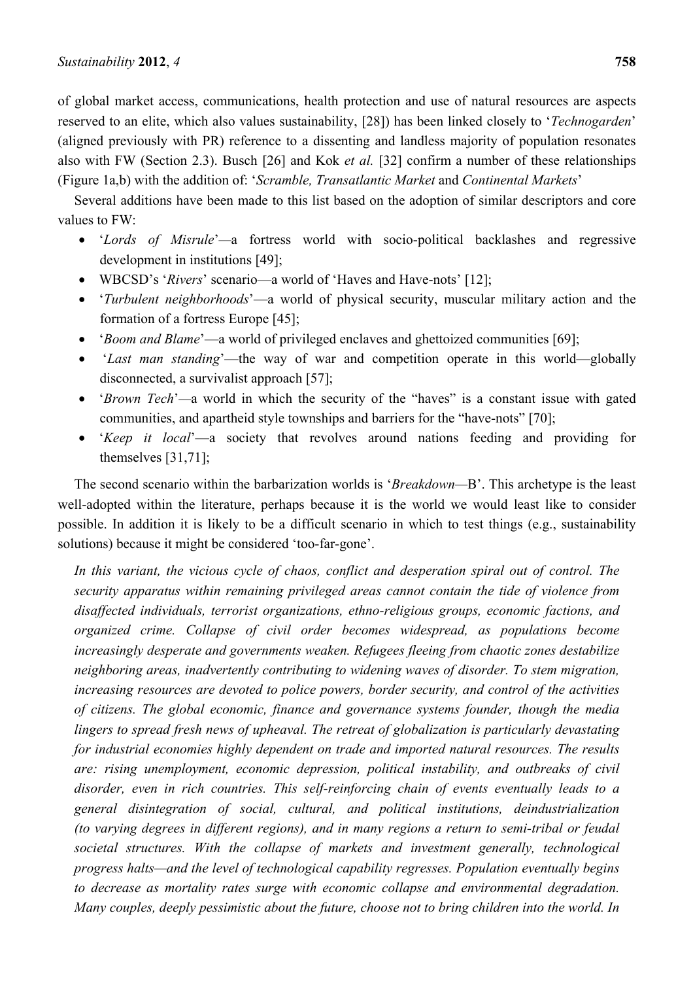of global market access, communications, health protection and use of natural resources are aspects reserved to an elite, which also values sustainability, [28]) has been linked closely to '*Technogarden*' (aligned previously with PR) reference to a dissenting and landless majority of population resonates also with FW (Section 2.3). Busch [26] and Kok *et al.* [32] confirm a number of these relationships (Figure 1a,b) with the addition of: '*Scramble, Transatlantic Market* and *Continental Markets*'

Several additions have been made to this list based on the adoption of similar descriptors and core values to FW:

- '*Lords of Misrule*'*—*a fortress world with socio-political backlashes and regressive development in institutions [49];
- WBCSD's '*Rivers*' scenario—a world of 'Haves and Have-nots' [12];
- '*Turbulent neighborhoods*'—a world of physical security, muscular military action and the formation of a fortress Europe [45];
- '*Boom and Blame*'—a world of privileged enclaves and ghettoized communities [69];
- '*Last man standing*'—the way of war and competition operate in this world—globally disconnected, a survivalist approach [57];
- '*Brown Tech*'*—*a world in which the security of the "haves" is a constant issue with gated communities, and apartheid style townships and barriers for the "have-nots" [70];
- '*Keep it local*'—a society that revolves around nations feeding and providing for themselves [31,71];

The second scenario within the barbarization worlds is '*Breakdown—*B'. This archetype is the least well-adopted within the literature, perhaps because it is the world we would least like to consider possible. In addition it is likely to be a difficult scenario in which to test things (e.g., sustainability solutions) because it might be considered 'too-far-gone'.

*In this variant, the vicious cycle of chaos, conflict and desperation spiral out of control. The security apparatus within remaining privileged areas cannot contain the tide of violence from disaffected individuals, terrorist organizations, ethno-religious groups, economic factions, and organized crime. Collapse of civil order becomes widespread, as populations become increasingly desperate and governments weaken. Refugees fleeing from chaotic zones destabilize neighboring areas, inadvertently contributing to widening waves of disorder. To stem migration, increasing resources are devoted to police powers, border security, and control of the activities of citizens. The global economic, finance and governance systems founder, though the media lingers to spread fresh news of upheaval. The retreat of globalization is particularly devastating for industrial economies highly dependent on trade and imported natural resources. The results are: rising unemployment, economic depression, political instability, and outbreaks of civil disorder, even in rich countries. This self-reinforcing chain of events eventually leads to a general disintegration of social, cultural, and political institutions, deindustrialization (to varying degrees in different regions), and in many regions a return to semi-tribal or feudal societal structures. With the collapse of markets and investment generally, technological progress halts—and the level of technological capability regresses. Population eventually begins to decrease as mortality rates surge with economic collapse and environmental degradation. Many couples, deeply pessimistic about the future, choose not to bring children into the world. In*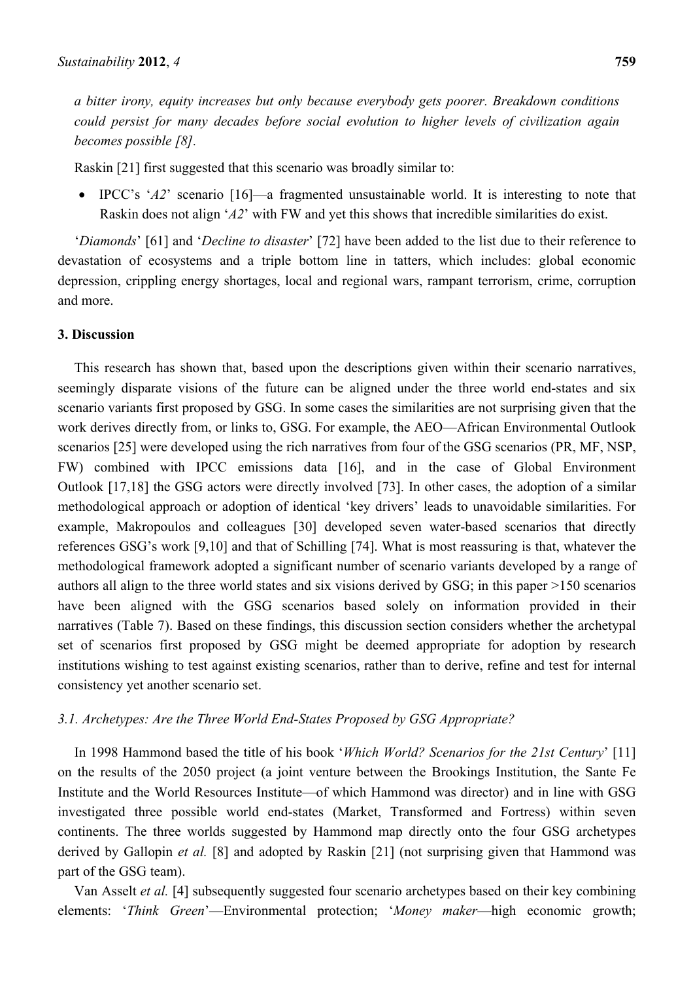*a bitter irony, equity increases but only because everybody gets poorer. Breakdown conditions could persist for many decades before social evolution to higher levels of civilization again becomes possible [8].* 

Raskin [21] first suggested that this scenario was broadly similar to:

 IPCC's '*A2*' scenario [16]—a fragmented unsustainable world. It is interesting to note that Raskin does not align '*A2*' with FW and yet this shows that incredible similarities do exist.

'*Diamonds*' [61] and '*Decline to disaster*' [72] have been added to the list due to their reference to devastation of ecosystems and a triple bottom line in tatters, which includes: global economic depression, crippling energy shortages, local and regional wars, rampant terrorism, crime, corruption and more.

#### **3. Discussion**

This research has shown that, based upon the descriptions given within their scenario narratives, seemingly disparate visions of the future can be aligned under the three world end-states and six scenario variants first proposed by GSG. In some cases the similarities are not surprising given that the work derives directly from, or links to, GSG. For example, the AEO—African Environmental Outlook scenarios [25] were developed using the rich narratives from four of the GSG scenarios (PR, MF, NSP, FW) combined with IPCC emissions data [16], and in the case of Global Environment Outlook [17,18] the GSG actors were directly involved [73]. In other cases, the adoption of a similar methodological approach or adoption of identical 'key drivers' leads to unavoidable similarities. For example, Makropoulos and colleagues [30] developed seven water-based scenarios that directly references GSG's work [9,10] and that of Schilling [74]. What is most reassuring is that, whatever the methodological framework adopted a significant number of scenario variants developed by a range of authors all align to the three world states and six visions derived by GSG; in this paper >150 scenarios have been aligned with the GSG scenarios based solely on information provided in their narratives (Table 7). Based on these findings, this discussion section considers whether the archetypal set of scenarios first proposed by GSG might be deemed appropriate for adoption by research institutions wishing to test against existing scenarios, rather than to derive, refine and test for internal consistency yet another scenario set.

#### *3.1. Archetypes: Are the Three World End-States Proposed by GSG Appropriate?*

In 1998 Hammond based the title of his book '*Which World? Scenarios for the 21st Century*' [11] on the results of the 2050 project (a joint venture between the Brookings Institution, the Sante Fe Institute and the World Resources Institute—of which Hammond was director) and in line with GSG investigated three possible world end-states (Market, Transformed and Fortress) within seven continents. The three worlds suggested by Hammond map directly onto the four GSG archetypes derived by Gallopin *et al.* [8] and adopted by Raskin [21] (not surprising given that Hammond was part of the GSG team).

Van Asselt *et al.* [4] subsequently suggested four scenario archetypes based on their key combining elements: '*Think Green*'—Environmental protection; '*Money maker*—high economic growth;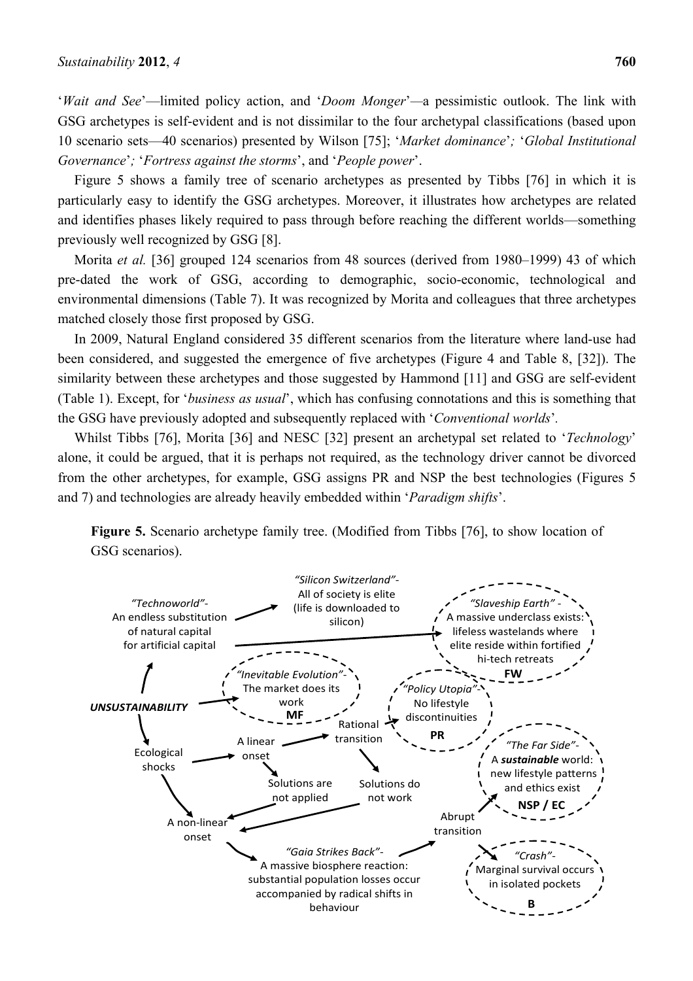'*Wait and See*'—limited policy action, and '*Doom Monger*'*—*a pessimistic outlook. The link with GSG archetypes is self-evident and is not dissimilar to the four archetypal classifications (based upon 10 scenario sets—40 scenarios) presented by Wilson [75]; '*Market dominance*'*;* '*Global Institutional Governance*'*;* '*Fortress against the storms*', and '*People power*'.

Figure 5 shows a family tree of scenario archetypes as presented by Tibbs [76] in which it is particularly easy to identify the GSG archetypes. Moreover, it illustrates how archetypes are related and identifies phases likely required to pass through before reaching the different worlds—something previously well recognized by GSG [8].

Morita *et al.* [36] grouped 124 scenarios from 48 sources (derived from 1980–1999) 43 of which pre-dated the work of GSG, according to demographic, socio-economic, technological and environmental dimensions (Table 7). It was recognized by Morita and colleagues that three archetypes matched closely those first proposed by GSG.

In 2009, Natural England considered 35 different scenarios from the literature where land-use had been considered, and suggested the emergence of five archetypes (Figure 4 and Table 8, [32]). The similarity between these archetypes and those suggested by Hammond [11] and GSG are self-evident (Table 1). Except, for '*business as usual*', which has confusing connotations and this is something that the GSG have previously adopted and subsequently replaced with '*Conventional worlds*'*.* 

Whilst Tibbs [76], Morita [36] and NESC [32] present an archetypal set related to '*Technology*' alone, it could be argued, that it is perhaps not required, as the technology driver cannot be divorced from the other archetypes, for example, GSG assigns PR and NSP the best technologies (Figures 5 and 7) and technologies are already heavily embedded within '*Paradigm shifts*'.

**Figure 5.** Scenario archetype family tree. (Modified from Tibbs [76], to show location of GSG scenarios).

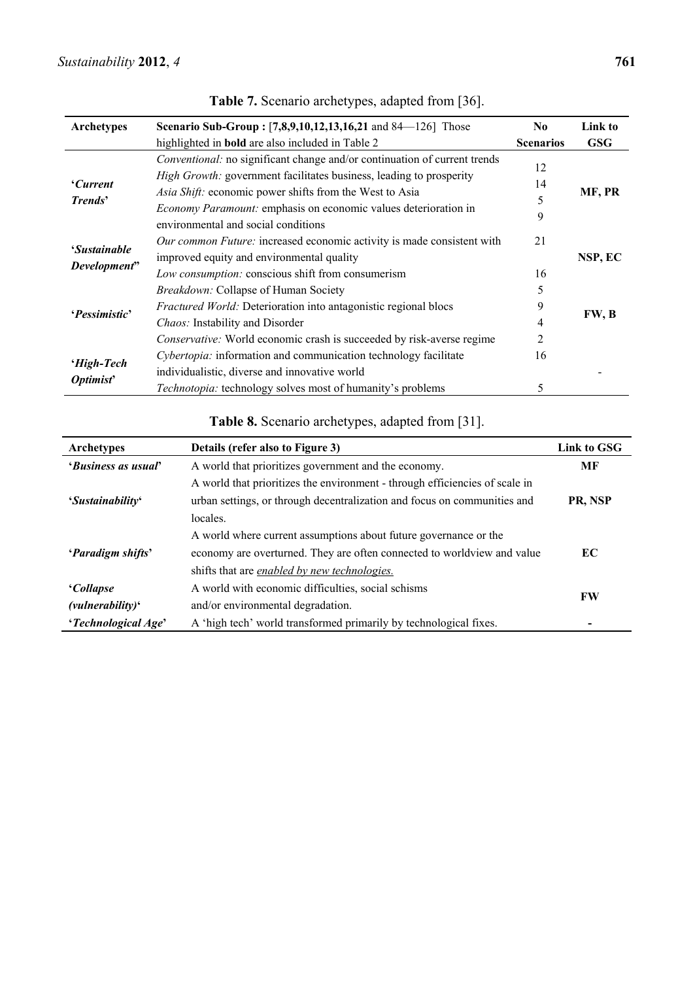| <b>Archetypes</b>                   | <b>Scenario Sub-Group:</b> [7,8,9,10,12,13,16,21 and 84—126] Those                                                                                                                                                                                                                                                           | N <sub>0</sub>     | Link to    |
|-------------------------------------|------------------------------------------------------------------------------------------------------------------------------------------------------------------------------------------------------------------------------------------------------------------------------------------------------------------------------|--------------------|------------|
|                                     | highlighted in <b>bold</b> are also included in Table 2                                                                                                                                                                                                                                                                      | <b>Scenarios</b>   | <b>GSG</b> |
| <i>Current</i><br><b>Trends'</b>    | Conventional: no significant change and/or continuation of current trends<br>High Growth: government facilitates business, leading to prosperity<br>Asia Shift: economic power shifts from the West to Asia<br><i>Economy Paramount:</i> emphasis on economic values deterioration in<br>environmental and social conditions | 12<br>14<br>5<br>9 | MF, PR     |
| <i>'Sustainable</i><br>Development" | Our common Future: increased economic activity is made consistent with<br>improved equity and environmental quality<br>Low consumption: conscious shift from consumerism                                                                                                                                                     | 21<br>16           | NSP, EC    |
| <i>'Pessimistic'</i>                | <i>Breakdown:</i> Collapse of Human Society<br>Fractured World: Deterioration into antagonistic regional blocs<br>Chaos: Instability and Disorder<br>Conservative: World economic crash is succeeded by risk-averse regime                                                                                                   | 5<br>9<br>4<br>2   | FW, B      |
| 'High-Tech<br>Optimist'             | Cybertopia: information and communication technology facilitate<br>individualistic, diverse and innovative world<br><i>Technotopia:</i> technology solves most of humanity's problems                                                                                                                                        | 16<br>5            |            |

**Table 7.** Scenario archetypes, adapted from [36].

## **Table 8.** Scenario archetypes, adapted from [31].

| <b>Archetypes</b>          | Details (refer also to Figure 3)                                            | Link to GSG |
|----------------------------|-----------------------------------------------------------------------------|-------------|
| <i>'Business as usual'</i> | A world that prioritizes government and the economy.                        | МF          |
|                            | A world that prioritizes the environment - through efficiencies of scale in |             |
| 'Sustainability'           | urban settings, or through decentralization and focus on communities and    | PR, NSP     |
|                            | locales.                                                                    |             |
|                            | A world where current assumptions about future governance or the            |             |
| <i>'Paradigm shifts'</i>   | economy are overturned. They are often connected to worldview and value     | EC          |
|                            | shifts that are <i>enabled by new technologies</i> .                        |             |
| <i>Collapse</i>            | A world with economic difficulties, social schisms                          |             |
| $(vulnerability)^{c}$      | and/or environmental degradation.                                           | <b>FW</b>   |
| 'Technological Age'        | A 'high tech' world transformed primarily by technological fixes.           |             |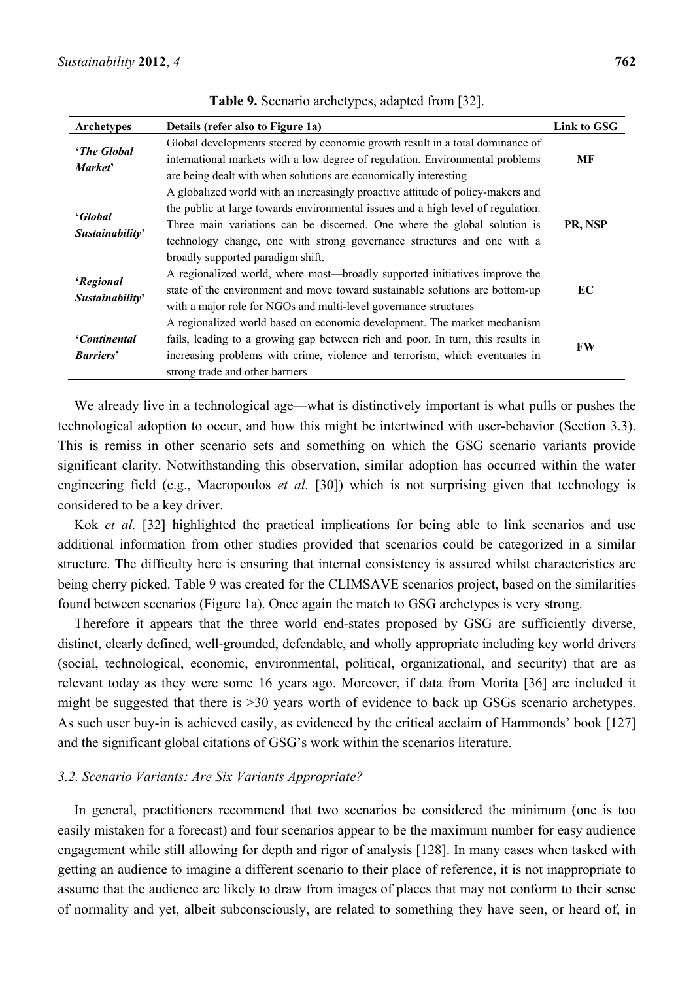| <b>Archetypes</b>                    | Details (refer also to Figure 1a)                                                                                                                                                                                                                                                                                                                               | Link to GSG |
|--------------------------------------|-----------------------------------------------------------------------------------------------------------------------------------------------------------------------------------------------------------------------------------------------------------------------------------------------------------------------------------------------------------------|-------------|
| <i>'The Global'</i><br><b>Market</b> | Global developments steered by economic growth result in a total dominance of<br>international markets with a low degree of regulation. Environmental problems<br>are being dealt with when solutions are economically interesting                                                                                                                              | МF          |
| <i>'Global</i><br>Sustainability'    | A globalized world with an increasingly proactive attitude of policy-makers and<br>the public at large towards environmental issues and a high level of regulation.<br>Three main variations can be discerned. One where the global solution is<br>technology change, one with strong governance structures and one with a<br>broadly supported paradigm shift. | PR, NSP     |
| 'Regional<br>Sustainability'         | A regionalized world, where most—broadly supported initiatives improve the<br>state of the environment and move toward sustainable solutions are bottom-up<br>with a major role for NGOs and multi-level governance structures<br>A regionalized world based on economic development. The market mechanism                                                      | EC          |
| 'Continental<br><b>Barriers'</b>     | fails, leading to a growing gap between rich and poor. In turn, this results in<br>increasing problems with crime, violence and terrorism, which eventuates in<br>strong trade and other barriers                                                                                                                                                               | FW          |

**Table 9.** Scenario archetypes, adapted from [32].

We already live in a technological age—what is distinctively important is what pulls or pushes the technological adoption to occur, and how this might be intertwined with user-behavior (Section 3.3). This is remiss in other scenario sets and something on which the GSG scenario variants provide significant clarity. Notwithstanding this observation, similar adoption has occurred within the water engineering field (e.g., Macropoulos *et al.* [30]) which is not surprising given that technology is considered to be a key driver.

Kok *et al.* [32] highlighted the practical implications for being able to link scenarios and use additional information from other studies provided that scenarios could be categorized in a similar structure. The difficulty here is ensuring that internal consistency is assured whilst characteristics are being cherry picked. Table 9 was created for the CLIMSAVE scenarios project, based on the similarities found between scenarios (Figure 1a). Once again the match to GSG archetypes is very strong.

Therefore it appears that the three world end-states proposed by GSG are sufficiently diverse, distinct, clearly defined, well-grounded, defendable, and wholly appropriate including key world drivers (social, technological, economic, environmental, political, organizational, and security) that are as relevant today as they were some 16 years ago. Moreover, if data from Morita [36] are included it might be suggested that there is >30 years worth of evidence to back up GSGs scenario archetypes. As such user buy-in is achieved easily, as evidenced by the critical acclaim of Hammonds' book [127] and the significant global citations of GSG's work within the scenarios literature.

#### *3.2. Scenario Variants: Are Six Variants Appropriate?*

In general, practitioners recommend that two scenarios be considered the minimum (one is too easily mistaken for a forecast) and four scenarios appear to be the maximum number for easy audience engagement while still allowing for depth and rigor of analysis [128]. In many cases when tasked with getting an audience to imagine a different scenario to their place of reference, it is not inappropriate to assume that the audience are likely to draw from images of places that may not conform to their sense of normality and yet, albeit subconsciously, are related to something they have seen, or heard of, in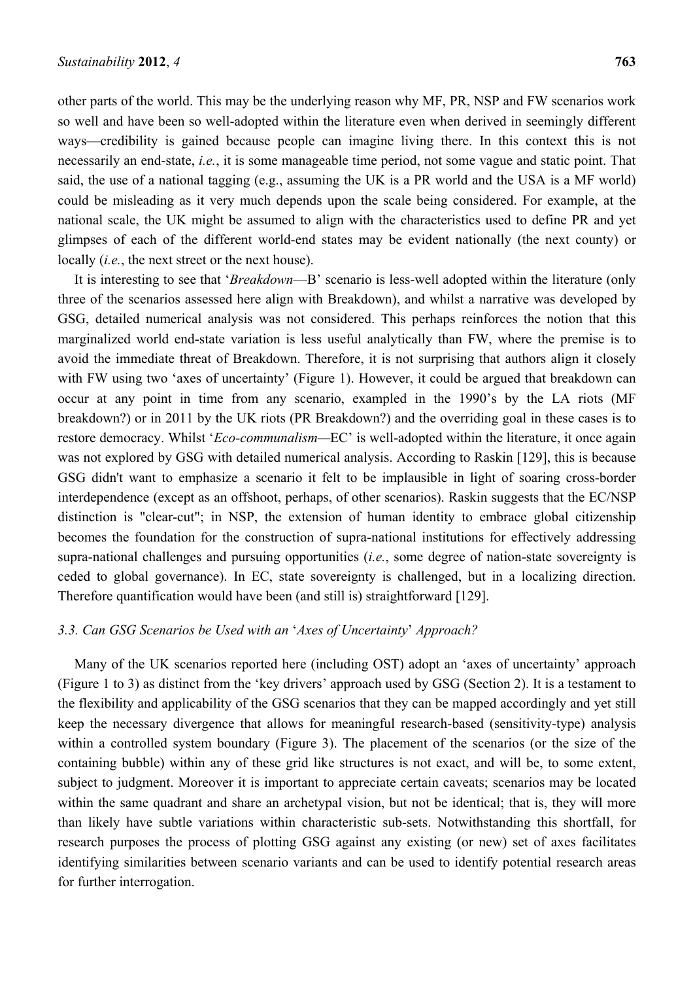other parts of the world. This may be the underlying reason why MF, PR, NSP and FW scenarios work so well and have been so well-adopted within the literature even when derived in seemingly different ways—credibility is gained because people can imagine living there. In this context this is not necessarily an end-state, *i.e.*, it is some manageable time period, not some vague and static point. That said, the use of a national tagging (e.g., assuming the UK is a PR world and the USA is a MF world) could be misleading as it very much depends upon the scale being considered. For example, at the national scale, the UK might be assumed to align with the characteristics used to define PR and yet glimpses of each of the different world-end states may be evident nationally (the next county) or locally (*i.e.*, the next street or the next house).

It is interesting to see that '*Breakdown*—B' scenario is less-well adopted within the literature (only three of the scenarios assessed here align with Breakdown), and whilst a narrative was developed by GSG, detailed numerical analysis was not considered. This perhaps reinforces the notion that this marginalized world end-state variation is less useful analytically than FW, where the premise is to avoid the immediate threat of Breakdown. Therefore, it is not surprising that authors align it closely with FW using two 'axes of uncertainty' (Figure 1). However, it could be argued that breakdown can occur at any point in time from any scenario, exampled in the 1990's by the LA riots (MF breakdown?) or in 2011 by the UK riots (PR Breakdown?) and the overriding goal in these cases is to restore democracy. Whilst '*Eco-communalism—*EC' is well-adopted within the literature, it once again was not explored by GSG with detailed numerical analysis. According to Raskin [129], this is because GSG didn't want to emphasize a scenario it felt to be implausible in light of soaring cross-border interdependence (except as an offshoot, perhaps, of other scenarios). Raskin suggests that the EC/NSP distinction is "clear-cut"; in NSP, the extension of human identity to embrace global citizenship becomes the foundation for the construction of supra-national institutions for effectively addressing supra-national challenges and pursuing opportunities (*i.e.*, some degree of nation-state sovereignty is ceded to global governance). In EC, state sovereignty is challenged, but in a localizing direction. Therefore quantification would have been (and still is) straightforward [129].

#### *3.3. Can GSG Scenarios be Used with an* '*Axes of Uncertainty*' *Approach?*

Many of the UK scenarios reported here (including OST) adopt an 'axes of uncertainty' approach (Figure 1 to 3) as distinct from the 'key drivers' approach used by GSG (Section 2). It is a testament to the flexibility and applicability of the GSG scenarios that they can be mapped accordingly and yet still keep the necessary divergence that allows for meaningful research-based (sensitivity-type) analysis within a controlled system boundary (Figure 3). The placement of the scenarios (or the size of the containing bubble) within any of these grid like structures is not exact, and will be, to some extent, subject to judgment. Moreover it is important to appreciate certain caveats; scenarios may be located within the same quadrant and share an archetypal vision, but not be identical; that is, they will more than likely have subtle variations within characteristic sub-sets. Notwithstanding this shortfall, for research purposes the process of plotting GSG against any existing (or new) set of axes facilitates identifying similarities between scenario variants and can be used to identify potential research areas for further interrogation.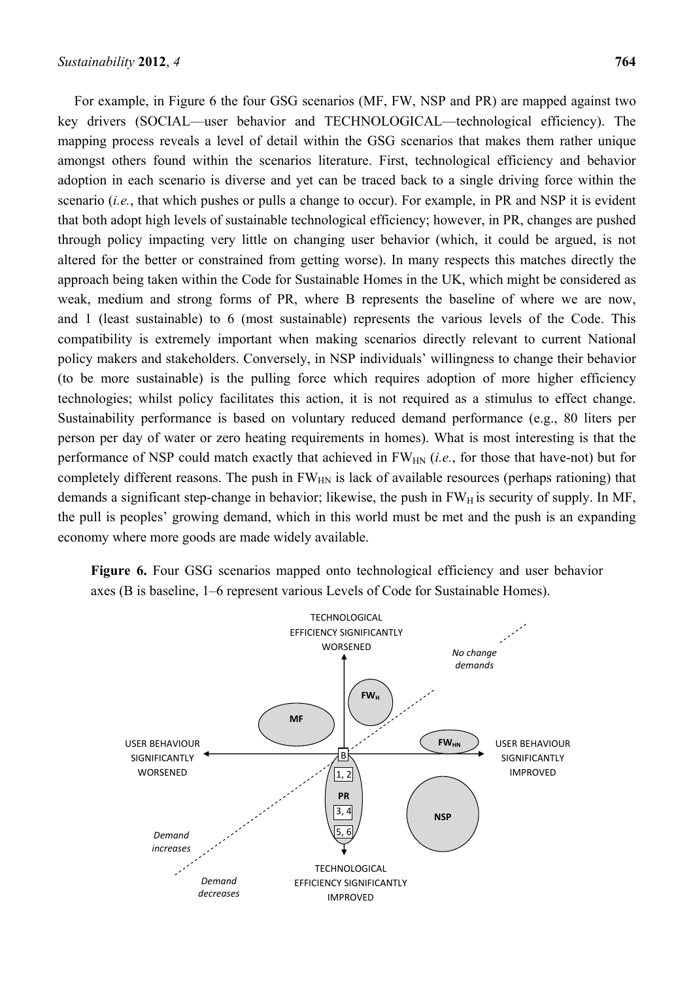For example, in Figure 6 the four GSG scenarios (MF, FW, NSP and PR) are mapped against two key drivers (SOCIAL—user behavior and TECHNOLOGICAL—technological efficiency). The mapping process reveals a level of detail within the GSG scenarios that makes them rather unique amongst others found within the scenarios literature. First, technological efficiency and behavior adoption in each scenario is diverse and yet can be traced back to a single driving force within the scenario (*i.e.*, that which pushes or pulls a change to occur). For example, in PR and NSP it is evident that both adopt high levels of sustainable technological efficiency; however, in PR, changes are pushed through policy impacting very little on changing user behavior (which, it could be argued, is not altered for the better or constrained from getting worse). In many respects this matches directly the approach being taken within the Code for Sustainable Homes in the UK, which might be considered as weak, medium and strong forms of PR, where B represents the baseline of where we are now, and 1 (least sustainable) to 6 (most sustainable) represents the various levels of the Code. This compatibility is extremely important when making scenarios directly relevant to current National policy makers and stakeholders. Conversely, in NSP individuals' willingness to change their behavior (to be more sustainable) is the pulling force which requires adoption of more higher efficiency technologies; whilst policy facilitates this action, it is not required as a stimulus to effect change. Sustainability performance is based on voluntary reduced demand performance (e.g., 80 liters per person per day of water or zero heating requirements in homes). What is most interesting is that the performance of NSP could match exactly that achieved in FW<sub>HN</sub> (*i.e.*, for those that have-not) but for completely different reasons. The push in  $FW_{HN}$  is lack of available resources (perhaps rationing) that demands a significant step-change in behavior; likewise, the push in  $FW<sub>H</sub>$  is security of supply. In MF, the pull is peoples' growing demand, which in this world must be met and the push is an expanding economy where more goods are made widely available.

**Figure 6.** Four GSG scenarios mapped onto technological efficiency and user behavior axes (B is baseline, 1–6 represent various Levels of Code for Sustainable Homes).

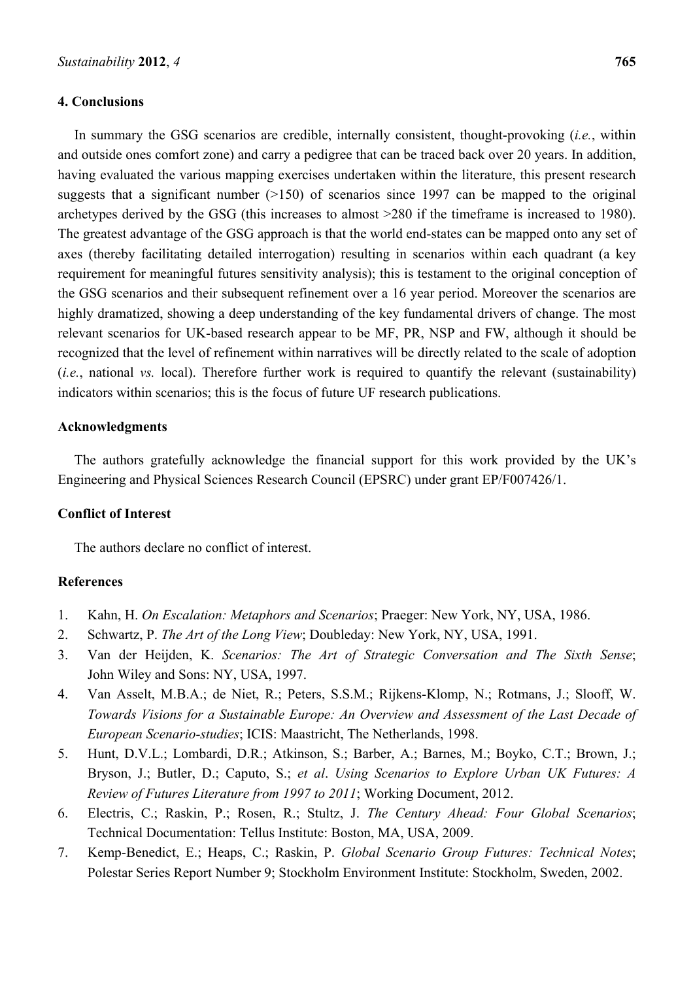#### **4. Conclusions**

In summary the GSG scenarios are credible, internally consistent, thought-provoking (*i.e.*, within and outside ones comfort zone) and carry a pedigree that can be traced back over 20 years. In addition, having evaluated the various mapping exercises undertaken within the literature, this present research suggests that a significant number  $(>150)$  of scenarios since 1997 can be mapped to the original archetypes derived by the GSG (this increases to almost >280 if the timeframe is increased to 1980). The greatest advantage of the GSG approach is that the world end-states can be mapped onto any set of axes (thereby facilitating detailed interrogation) resulting in scenarios within each quadrant (a key requirement for meaningful futures sensitivity analysis); this is testament to the original conception of the GSG scenarios and their subsequent refinement over a 16 year period. Moreover the scenarios are highly dramatized, showing a deep understanding of the key fundamental drivers of change. The most relevant scenarios for UK-based research appear to be MF, PR, NSP and FW, although it should be recognized that the level of refinement within narratives will be directly related to the scale of adoption (*i.e.*, national *vs.* local). Therefore further work is required to quantify the relevant (sustainability) indicators within scenarios; this is the focus of future UF research publications.

#### **Acknowledgments**

The authors gratefully acknowledge the financial support for this work provided by the UK's Engineering and Physical Sciences Research Council (EPSRC) under grant EP/F007426/1.

#### **Conflict of Interest**

The authors declare no conflict of interest.

### **References**

- 1. Kahn, H. *On Escalation: Metaphors and Scenarios*; Praeger: New York, NY, USA, 1986.
- 2. Schwartz, P. *The Art of the Long View*; Doubleday: New York, NY, USA, 1991.
- 3. Van der Heijden, K. *Scenarios: The Art of Strategic Conversation and The Sixth Sense*; John Wiley and Sons: NY, USA, 1997.
- 4. Van Asselt, M.B.A.; de Niet, R.; Peters, S.S.M.; Rijkens-Klomp, N.; Rotmans, J.; Slooff, W. *Towards Visions for a Sustainable Europe: An Overview and Assessment of the Last Decade of European Scenario-studies*; ICIS: Maastricht, The Netherlands, 1998.
- 5. Hunt, D.V.L.; Lombardi, D.R.; Atkinson, S.; Barber, A.; Barnes, M.; Boyko, C.T.; Brown, J.; Bryson, J.; Butler, D.; Caputo, S.; *et al*. *Using Scenarios to Explore Urban UK Futures: A Review of Futures Literature from 1997 to 2011*; Working Document, 2012.
- 6. Electris, C.; Raskin, P.; Rosen, R.; Stultz, J. *The Century Ahead: Four Global Scenarios*; Technical Documentation: Tellus Institute: Boston, MA, USA, 2009.
- 7. Kemp-Benedict, E.; Heaps, C.; Raskin, P. *Global Scenario Group Futures: Technical Notes*; Polestar Series Report Number 9; Stockholm Environment Institute: Stockholm, Sweden, 2002.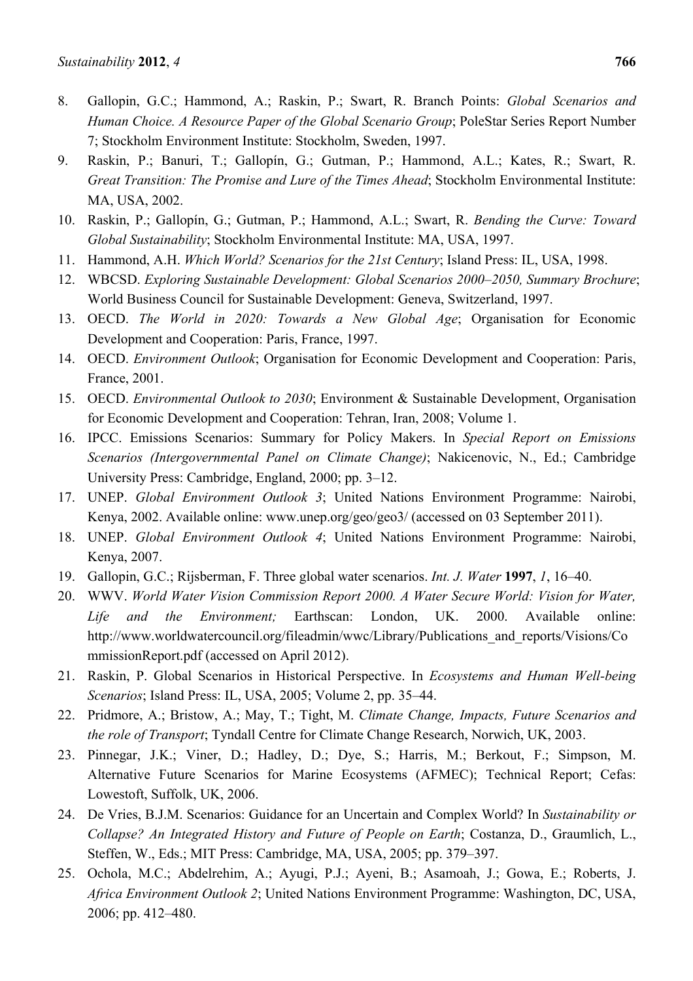- 8. Gallopin, G.C.; Hammond, A.; Raskin, P.; Swart, R. Branch Points: *Global Scenarios and Human Choice. A Resource Paper of the Global Scenario Group*; PoleStar Series Report Number 7; Stockholm Environment Institute: Stockholm, Sweden, 1997.
- 9. Raskin, P.; Banuri, T.; Gallopín, G.; Gutman, P.; Hammond, A.L.; Kates, R.; Swart, R. *Great Transition: The Promise and Lure of the Times Ahead*; Stockholm Environmental Institute: MA, USA, 2002.
- 10. Raskin, P.; Gallopín, G.; Gutman, P.; Hammond, A.L.; Swart, R. *Bending the Curve: Toward Global Sustainability*; Stockholm Environmental Institute: MA, USA, 1997.
- 11. Hammond, A.H. *Which World? Scenarios for the 21st Century*; Island Press: IL, USA, 1998.
- 12. WBCSD. *Exploring Sustainable Development: Global Scenarios 2000–2050, Summary Brochure*; World Business Council for Sustainable Development: Geneva, Switzerland, 1997.
- 13. OECD. *The World in 2020: Towards a New Global Age*; Organisation for Economic Development and Cooperation: Paris, France, 1997.
- 14. OECD. *Environment Outlook*; Organisation for Economic Development and Cooperation: Paris, France, 2001.
- 15. OECD. *Environmental Outlook to 2030*; Environment & Sustainable Development, Organisation for Economic Development and Cooperation: Tehran, Iran, 2008; Volume 1.
- 16. IPCC. Emissions Scenarios: Summary for Policy Makers. In *Special Report on Emissions Scenarios (Intergovernmental Panel on Climate Change)*; Nakicenovic, N., Ed.; Cambridge University Press: Cambridge, England, 2000; pp. 3–12.
- 17. UNEP. *Global Environment Outlook 3*; United Nations Environment Programme: Nairobi, Kenya, 2002. Available online: www.unep.org/geo/geo3/ (accessed on 03 September 2011).
- 18. UNEP. *Global Environment Outlook 4*; United Nations Environment Programme: Nairobi, Kenya, 2007.
- 19. Gallopin, G.C.; Rijsberman, F. Three global water scenarios. *Int. J. Water* **1997**, *1*, 16–40.
- 20. WWV. *World Water Vision Commission Report 2000. A Water Secure World: Vision for Water, Life and the Environment;* Earthscan: London, UK. 2000. Available online: http://www.worldwatercouncil.org/fileadmin/wwc/Library/Publications\_and\_reports/Visions/Co mmissionReport.pdf (accessed on April 2012).
- 21. Raskin, P. Global Scenarios in Historical Perspective. In *Ecosystems and Human Well-being Scenarios*; Island Press: IL, USA, 2005; Volume 2, pp. 35–44.
- 22. Pridmore, A.; Bristow, A.; May, T.; Tight, M. *Climate Change, Impacts, Future Scenarios and the role of Transport*; Tyndall Centre for Climate Change Research, Norwich, UK, 2003.
- 23. Pinnegar, J.K.; Viner, D.; Hadley, D.; Dye, S.; Harris, M.; Berkout, F.; Simpson, M. Alternative Future Scenarios for Marine Ecosystems (AFMEC); Technical Report; Cefas: Lowestoft, Suffolk, UK, 2006.
- 24. De Vries, B.J.M. Scenarios: Guidance for an Uncertain and Complex World? In *Sustainability or Collapse? An Integrated History and Future of People on Earth*; Costanza, D., Graumlich, L., Steffen, W., Eds.; MIT Press: Cambridge, MA, USA, 2005; pp. 379–397.
- 25. Ochola, M.C.; Abdelrehim, A.; Ayugi, P.J.; Ayeni, B.; Asamoah, J.; Gowa, E.; Roberts, J. *Africa Environment Outlook 2*; United Nations Environment Programme: Washington, DC, USA, 2006; pp. 412–480.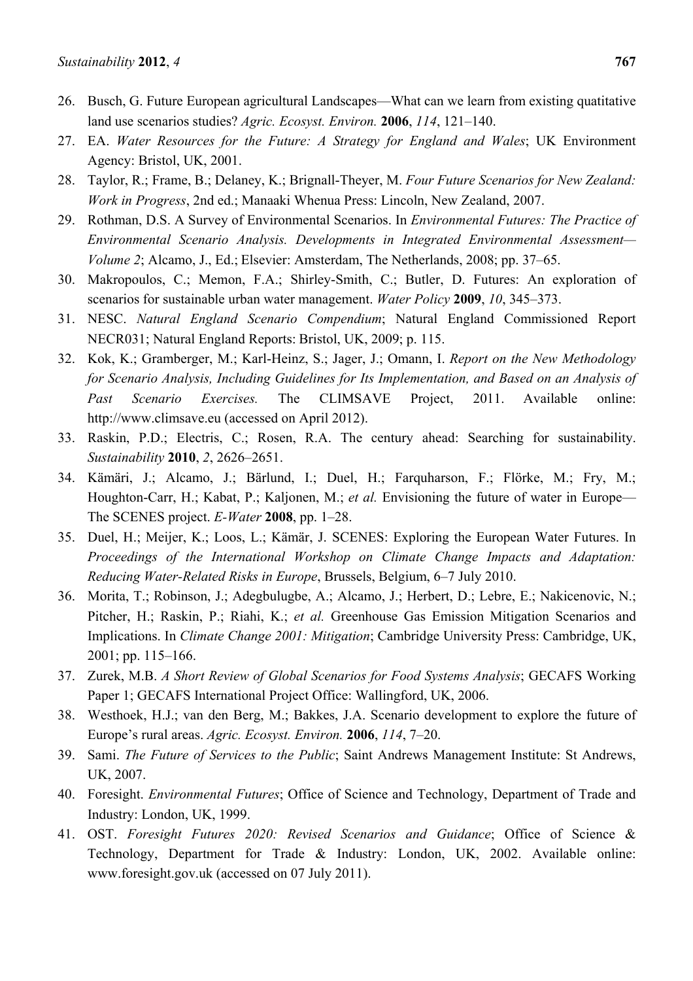- 26. Busch, G. Future European agricultural Landscapes—What can we learn from existing quatitative land use scenarios studies? *Agric. Ecosyst. Environ.* **2006**, *114*, 121–140.
- 27. EA. *Water Resources for the Future: A Strategy for England and Wales*; UK Environment Agency: Bristol, UK, 2001.
- 28. Taylor, R.; Frame, B.; Delaney, K.; Brignall-Theyer, M. *Four Future Scenarios for New Zealand: Work in Progress*, 2nd ed.; Manaaki Whenua Press: Lincoln, New Zealand, 2007.
- 29. Rothman, D.S. A Survey of Environmental Scenarios. In *Environmental Futures: The Practice of Environmental Scenario Analysis. Developments in Integrated Environmental Assessment— Volume 2*; Alcamo, J., Ed.; Elsevier: Amsterdam, The Netherlands, 2008; pp. 37–65.
- 30. Makropoulos, C.; Memon, F.A.; Shirley-Smith, C.; Butler, D. Futures: An exploration of scenarios for sustainable urban water management. *Water Policy* **2009**, *10*, 345–373.
- 31. NESC. *Natural England Scenario Compendium*; Natural England Commissioned Report NECR031; Natural England Reports: Bristol, UK, 2009; p. 115.
- 32. Kok, K.; Gramberger, M.; Karl-Heinz, S.; Jager, J.; Omann, I. *Report on the New Methodology for Scenario Analysis, Including Guidelines for Its Implementation, and Based on an Analysis of Past Scenario Exercises.* The CLIMSAVE Project, 2011. Available online: http://www.climsave.eu (accessed on April 2012).
- 33. Raskin, P.D.; Electris, C.; Rosen, R.A. The century ahead: Searching for sustainability. *Sustainability* **2010**, *2*, 2626–2651.
- 34. Kämäri, J.; Alcamo, J.; Bärlund, I.; Duel, H.; Farquharson, F.; Flörke, M.; Fry, M.; Houghton-Carr, H.; Kabat, P.; Kaljonen, M.; *et al.* Envisioning the future of water in Europe— The SCENES project. *E-Water* **2008**, pp. 1–28.
- 35. Duel, H.; Meijer, K.; Loos, L.; Kämär, J. SCENES: Exploring the European Water Futures. In *Proceedings of the International Workshop on Climate Change Impacts and Adaptation: Reducing Water-Related Risks in Europe*, Brussels, Belgium, 6–7 July 2010.
- 36. Morita, T.; Robinson, J.; Adegbulugbe, A.; Alcamo, J.; Herbert, D.; Lebre, E.; Nakicenovic, N.; Pitcher, H.; Raskin, P.; Riahi, K.; *et al.* Greenhouse Gas Emission Mitigation Scenarios and Implications. In *Climate Change 2001: Mitigation*; Cambridge University Press: Cambridge, UK, 2001; pp. 115–166.
- 37. Zurek, M.B. *A Short Review of Global Scenarios for Food Systems Analysis*; GECAFS Working Paper 1; GECAFS International Project Office: Wallingford, UK, 2006.
- 38. Westhoek, H.J.; van den Berg, M.; Bakkes, J.A. Scenario development to explore the future of Europe's rural areas. *Agric. Ecosyst. Environ.* **2006**, *114*, 7–20.
- 39. Sami. *The Future of Services to the Public*; Saint Andrews Management Institute: St Andrews, UK, 2007.
- 40. Foresight. *Environmental Futures*; Office of Science and Technology, Department of Trade and Industry: London, UK, 1999.
- 41. OST. *Foresight Futures 2020: Revised Scenarios and Guidance*; Office of Science & Technology, Department for Trade & Industry: London, UK, 2002. Available online: www.foresight.gov.uk (accessed on 07 July 2011).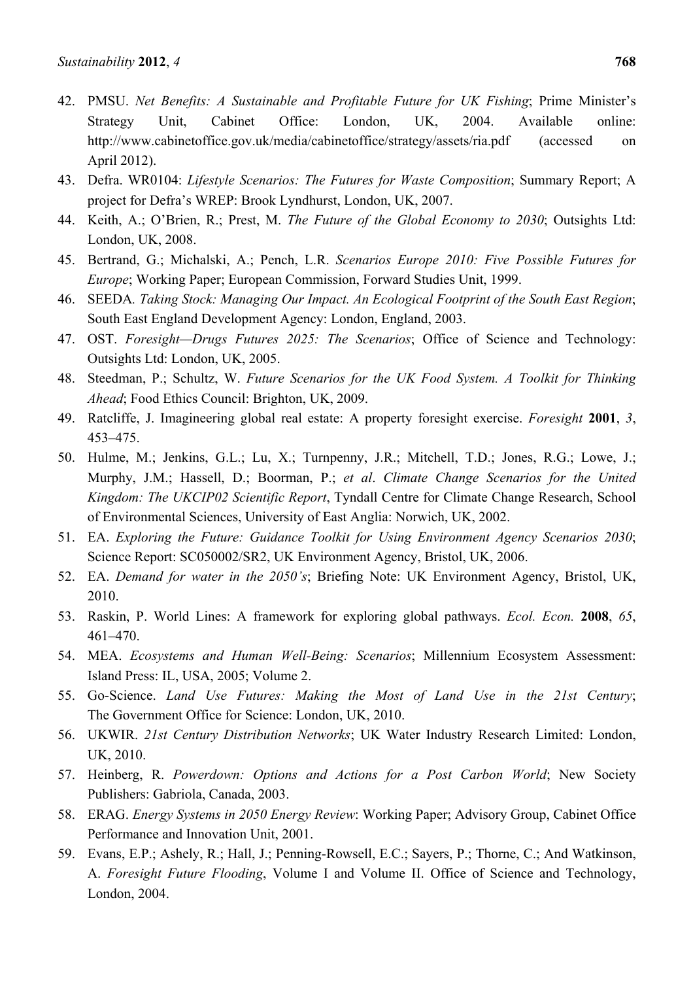- 42. PMSU. *Net Benefits: A Sustainable and Profitable Future for UK Fishing*; Prime Minister's Strategy Unit, Cabinet Office: London, UK, 2004. Available online: http://www.cabinetoffice.gov.uk/media/cabinetoffice/strategy/assets/ria.pdf (accessed on April 2012).
- 43. Defra. WR0104: *Lifestyle Scenarios: The Futures for Waste Composition*; Summary Report; A project for Defra's WREP: Brook Lyndhurst, London, UK, 2007.
- 44. Keith, A.; O'Brien, R.; Prest, M. *The Future of the Global Economy to 2030*; Outsights Ltd: London, UK, 2008.
- 45. Bertrand, G.; Michalski, A.; Pench, L.R. *Scenarios Europe 2010: Five Possible Futures for Europe*; Working Paper; European Commission, Forward Studies Unit, 1999.
- 46. SEEDA*. Taking Stock: Managing Our Impact. An Ecological Footprint of the South East Region*; South East England Development Agency: London, England, 2003.
- 47. OST. *Foresight—Drugs Futures 2025: The Scenarios*; Office of Science and Technology: Outsights Ltd: London, UK, 2005.
- 48. Steedman, P.; Schultz, W. *Future Scenarios for the UK Food System. A Toolkit for Thinking Ahead*; Food Ethics Council: Brighton, UK, 2009.
- 49. Ratcliffe, J. Imagineering global real estate: A property foresight exercise. *Foresight* **2001**, *3*, 453–475.
- 50. Hulme, M.; Jenkins, G.L.; Lu, X.; Turnpenny, J.R.; Mitchell, T.D.; Jones, R.G.; Lowe, J.; Murphy, J.M.; Hassell, D.; Boorman, P.; *et al*. *Climate Change Scenarios for the United Kingdom: The UKCIP02 Scientific Report*, Tyndall Centre for Climate Change Research, School of Environmental Sciences, University of East Anglia: Norwich, UK, 2002.
- 51. EA. *Exploring the Future: Guidance Toolkit for Using Environment Agency Scenarios 2030*; Science Report: SC050002/SR2, UK Environment Agency, Bristol, UK, 2006.
- 52. EA. *Demand for water in the 2050's*; Briefing Note: UK Environment Agency, Bristol, UK, 2010.
- 53. Raskin, P. World Lines: A framework for exploring global pathways. *Ecol. Econ.* **2008**, *65*, 461–470.
- 54. MEA. *Ecosystems and Human Well-Being: Scenarios*; Millennium Ecosystem Assessment: Island Press: IL, USA, 2005; Volume 2.
- 55. Go-Science. *Land Use Futures: Making the Most of Land Use in the 21st Century*; The Government Office for Science: London, UK, 2010.
- 56. UKWIR. *21st Century Distribution Networks*; UK Water Industry Research Limited: London, UK, 2010.
- 57. Heinberg, R. *Powerdown: Options and Actions for a Post Carbon World*; New Society Publishers: Gabriola, Canada, 2003.
- 58. ERAG. *Energy Systems in 2050 Energy Review*: Working Paper; Advisory Group, Cabinet Office Performance and Innovation Unit, 2001.
- 59. Evans, E.P.; Ashely, R.; Hall, J.; Penning-Rowsell, E.C.; Sayers, P.; Thorne, C.; And Watkinson, A. *Foresight Future Flooding*, Volume I and Volume II. Office of Science and Technology, London, 2004.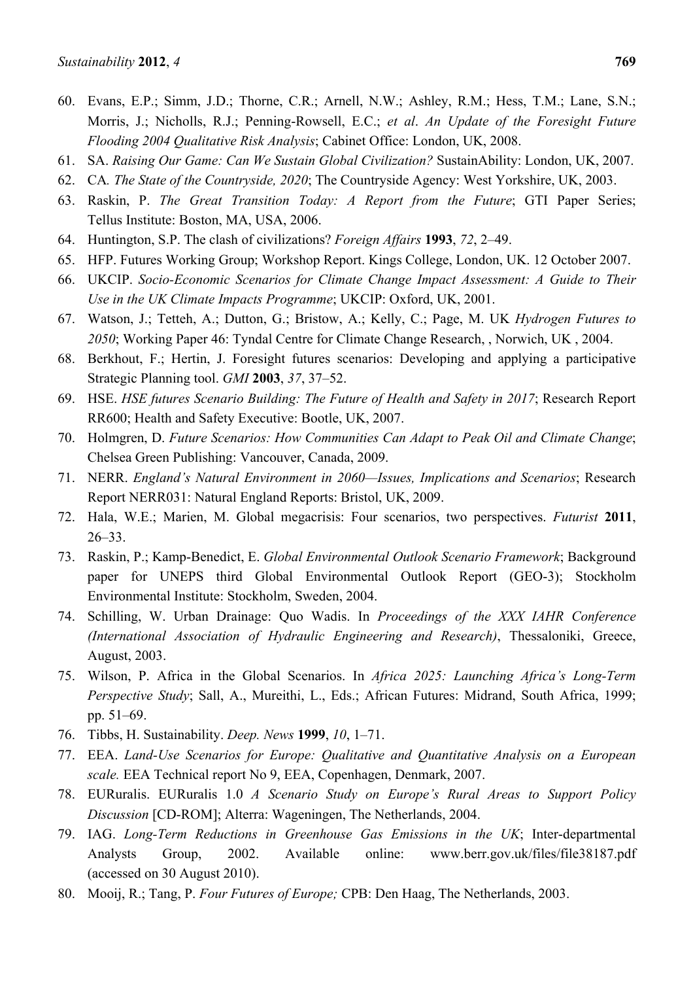- 60. Evans, E.P.; Simm, J.D.; Thorne, C.R.; Arnell, N.W.; Ashley, R.M.; Hess, T.M.; Lane, S.N.; Morris, J.; Nicholls, R.J.; Penning-Rowsell, E.C.; *et al*. *An Update of the Foresight Future Flooding 2004 Qualitative Risk Analysis*; Cabinet Office: London, UK, 2008.
- 61. SA. *Raising Our Game: Can We Sustain Global Civilization?* SustainAbility: London, UK, 2007.
- 62. CA*. The State of the Countryside, 2020*; The Countryside Agency: West Yorkshire, UK, 2003.
- 63. Raskin, P. *The Great Transition Today: A Report from the Future*; GTI Paper Series; Tellus Institute: Boston, MA, USA, 2006.
- 64. Huntington, S.P. The clash of civilizations? *Foreign Affairs* **1993**, *72*, 2–49.
- 65. HFP. Futures Working Group; Workshop Report. Kings College, London, UK. 12 October 2007.
- 66. UKCIP. *Socio-Economic Scenarios for Climate Change Impact Assessment: A Guide to Their Use in the UK Climate Impacts Programme*; UKCIP: Oxford, UK, 2001.
- 67. Watson, J.; Tetteh, A.; Dutton, G.; Bristow, A.; Kelly, C.; Page, M. UK *Hydrogen Futures to 2050*; Working Paper 46: Tyndal Centre for Climate Change Research, , Norwich, UK , 2004.
- 68. Berkhout, F.; Hertin, J. Foresight futures scenarios: Developing and applying a participative Strategic Planning tool. *GMI* **2003**, *37*, 37–52.
- 69. HSE. *HSE futures Scenario Building: The Future of Health and Safety in 2017*; Research Report RR600; Health and Safety Executive: Bootle, UK, 2007.
- 70. Holmgren, D. *Future Scenarios: How Communities Can Adapt to Peak Oil and Climate Change*; Chelsea Green Publishing: Vancouver, Canada, 2009.
- 71. NERR. *England's Natural Environment in 2060—Issues, Implications and Scenarios*; Research Report NERR031: Natural England Reports: Bristol, UK, 2009.
- 72. Hala, W.E.; Marien, M. Global megacrisis: Four scenarios, two perspectives. *Futurist* **2011**, 26–33.
- 73. Raskin, P.; Kamp-Benedict, E. *Global Environmental Outlook Scenario Framework*; Background paper for UNEPS third Global Environmental Outlook Report (GEO-3); Stockholm Environmental Institute: Stockholm, Sweden, 2004.
- 74. Schilling, W. Urban Drainage: Quo Wadis. In *Proceedings of the XXX IAHR Conference (International Association of Hydraulic Engineering and Research)*, Thessaloniki, Greece, August, 2003.
- 75. Wilson, P. Africa in the Global Scenarios. In *Africa 2025: Launching Africa's Long-Term Perspective Study*; Sall, A., Mureithi, L., Eds.; African Futures: Midrand, South Africa, 1999; pp. 51–69.
- 76. Tibbs, H. Sustainability. *Deep. News* **1999**, *10*, 1–71.
- 77. EEA. *Land-Use Scenarios for Europe: Qualitative and Quantitative Analysis on a European scale.* EEA Technical report No 9, EEA, Copenhagen, Denmark, 2007.
- 78. EURuralis. EURuralis 1.0 *A Scenario Study on Europe's Rural Areas to Support Policy Discussion* [CD-ROM]; Alterra: Wageningen, The Netherlands, 2004.
- 79. IAG. *Long-Term Reductions in Greenhouse Gas Emissions in the UK*; Inter-departmental Analysts Group, 2002. Available online: www.berr.gov.uk/files/file38187.pdf (accessed on 30 August 2010).
- 80. Mooij, R.; Tang, P. *Four Futures of Europe;* CPB: Den Haag, The Netherlands, 2003.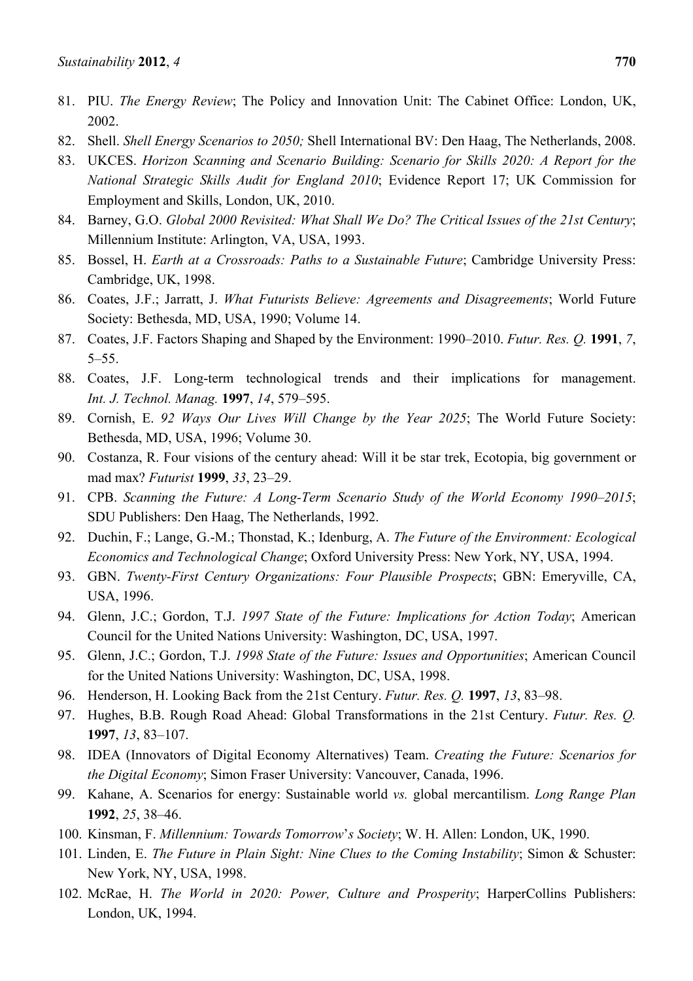- 81. PIU. *The Energy Review*; The Policy and Innovation Unit: The Cabinet Office: London, UK, 2002.
- 82. Shell. *Shell Energy Scenarios to 2050;* Shell International BV: Den Haag, The Netherlands, 2008.
- 83. UKCES. *Horizon Scanning and Scenario Building: Scenario for Skills 2020: A Report for the National Strategic Skills Audit for England 2010*; Evidence Report 17; UK Commission for Employment and Skills, London, UK, 2010.
- 84. Barney, G.O. *Global 2000 Revisited: What Shall We Do? The Critical Issues of the 21st Century*; Millennium Institute: Arlington, VA, USA, 1993.
- 85. Bossel, H. *Earth at a Crossroads: Paths to a Sustainable Future*; Cambridge University Press: Cambridge, UK, 1998.
- 86. Coates, J.F.; Jarratt, J. *What Futurists Believe: Agreements and Disagreements*; World Future Society: Bethesda, MD, USA, 1990; Volume 14.
- 87. Coates, J.F. Factors Shaping and Shaped by the Environment: 1990–2010. *Futur. Res. Q.* **1991**, *7*, 5–55.
- 88. Coates, J.F. Long-term technological trends and their implications for management. *Int. J. Technol. Manag.* **1997**, *14*, 579–595.
- 89. Cornish, E. *92 Ways Our Lives Will Change by the Year 2025*; The World Future Society: Bethesda, MD, USA, 1996; Volume 30.
- 90. Costanza, R. Four visions of the century ahead: Will it be star trek, Ecotopia, big government or mad max? *Futurist* **1999**, *33*, 23–29.
- 91. CPB. *Scanning the Future: A Long-Term Scenario Study of the World Economy 1990–2015*; SDU Publishers: Den Haag, The Netherlands, 1992.
- 92. Duchin, F.; Lange, G.-M.; Thonstad, K.; Idenburg, A. *The Future of the Environment: Ecological Economics and Technological Change*; Oxford University Press: New York, NY, USA, 1994.
- 93. GBN. *Twenty-First Century Organizations: Four Plausible Prospects*; GBN: Emeryville, CA, USA, 1996.
- 94. Glenn, J.C.; Gordon, T.J. *1997 State of the Future: Implications for Action Today*; American Council for the United Nations University: Washington, DC, USA, 1997.
- 95. Glenn, J.C.; Gordon, T.J. *1998 State of the Future: Issues and Opportunities*; American Council for the United Nations University: Washington, DC, USA, 1998.
- 96. Henderson, H. Looking Back from the 21st Century. *Futur. Res. Q.* **1997**, *13*, 83–98.
- 97. Hughes, B.B. Rough Road Ahead: Global Transformations in the 21st Century. *Futur. Res. Q.*  **1997**, *13*, 83–107.
- 98. IDEA (Innovators of Digital Economy Alternatives) Team. *Creating the Future: Scenarios for the Digital Economy*; Simon Fraser University: Vancouver, Canada, 1996.
- 99. Kahane, A. Scenarios for energy: Sustainable world *vs.* global mercantilism. *Long Range Plan*  **1992**, *25*, 38–46.
- 100. Kinsman, F. *Millennium: Towards Tomorrow*'*s Society*; W. H. Allen: London, UK, 1990.
- 101. Linden, E. *The Future in Plain Sight: Nine Clues to the Coming Instability*; Simon & Schuster: New York, NY, USA, 1998.
- 102. McRae, H. *The World in 2020: Power, Culture and Prosperity*; HarperCollins Publishers: London, UK, 1994.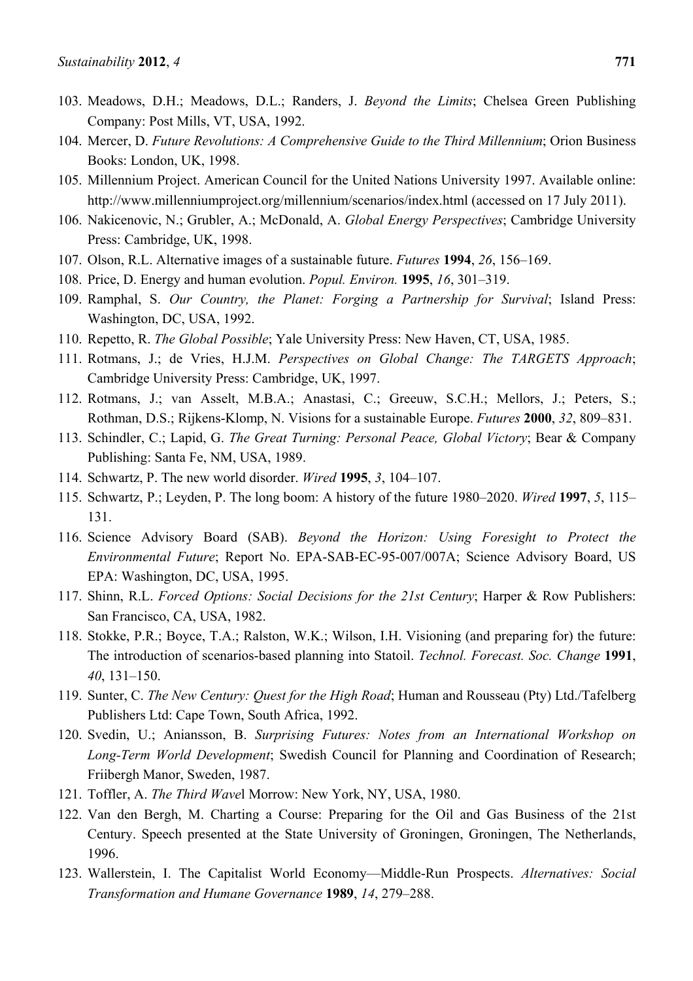- 103. Meadows, D.H.; Meadows, D.L.; Randers, J. *Beyond the Limits*; Chelsea Green Publishing Company: Post Mills, VT, USA, 1992.
- 104. Mercer, D. *Future Revolutions: A Comprehensive Guide to the Third Millennium*; Orion Business Books: London, UK, 1998.
- 105. Millennium Project. American Council for the United Nations University 1997. Available online: http://www.millenniumproject.org/millennium/scenarios/index.html (accessed on 17 July 2011).
- 106. Nakicenovic, N.; Grubler, A.; McDonald, A. *Global Energy Perspectives*; Cambridge University Press: Cambridge, UK, 1998.
- 107. Olson, R.L. Alternative images of a sustainable future. *Futures* **1994**, *26*, 156–169.
- 108. Price, D. Energy and human evolution. *Popul. Environ.* **1995**, *16*, 301–319.
- 109. Ramphal, S. *Our Country, the Planet: Forging a Partnership for Survival*; Island Press: Washington, DC, USA, 1992.
- 110. Repetto, R. *The Global Possible*; Yale University Press: New Haven, CT, USA, 1985.
- 111. Rotmans, J.; de Vries, H.J.M. *Perspectives on Global Change: The TARGETS Approach*; Cambridge University Press: Cambridge, UK, 1997.
- 112. Rotmans, J.; van Asselt, M.B.A.; Anastasi, C.; Greeuw, S.C.H.; Mellors, J.; Peters, S.; Rothman, D.S.; Rijkens-Klomp, N. Visions for a sustainable Europe. *Futures* **2000**, *32*, 809–831.
- 113. Schindler, C.; Lapid, G. *The Great Turning: Personal Peace, Global Victory*; Bear & Company Publishing: Santa Fe, NM, USA, 1989.
- 114. Schwartz, P. The new world disorder. *Wired* **1995**, *3*, 104–107.
- 115. Schwartz, P.; Leyden, P. The long boom: A history of the future 1980–2020. *Wired* **1997**, *5*, 115– 131.
- 116. Science Advisory Board (SAB). *Beyond the Horizon: Using Foresight to Protect the Environmental Future*; Report No. EPA-SAB-EC-95-007/007A; Science Advisory Board, US EPA: Washington, DC, USA, 1995.
- 117. Shinn, R.L. *Forced Options: Social Decisions for the 21st Century*; Harper & Row Publishers: San Francisco, CA, USA, 1982.
- 118. Stokke, P.R.; Boyce, T.A.; Ralston, W.K.; Wilson, I.H. Visioning (and preparing for) the future: The introduction of scenarios-based planning into Statoil. *Technol. Forecast. Soc. Change* **1991**, *40*, 131–150.
- 119. Sunter, C. *The New Century: Quest for the High Road*; Human and Rousseau (Pty) Ltd./Tafelberg Publishers Ltd: Cape Town, South Africa, 1992.
- 120. Svedin, U.; Aniansson, B. *Surprising Futures: Notes from an International Workshop on Long-Term World Development*; Swedish Council for Planning and Coordination of Research; Friibergh Manor, Sweden, 1987.
- 121. Toffler, A. *The Third Wave*l Morrow: New York, NY, USA, 1980.
- 122. Van den Bergh, M. Charting a Course: Preparing for the Oil and Gas Business of the 21st Century. Speech presented at the State University of Groningen, Groningen, The Netherlands, 1996.
- 123. Wallerstein, I. The Capitalist World Economy—Middle-Run Prospects. *Alternatives: Social Transformation and Humane Governance* **1989**, *14*, 279–288.